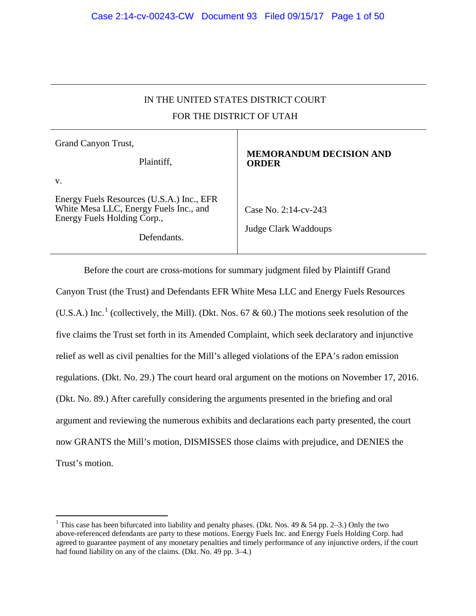# IN THE UNITED STATES DISTRICT COURT FOR THE DISTRICT OF UTAH

| Grand Canyon Trust,                                                                                                |                                                |
|--------------------------------------------------------------------------------------------------------------------|------------------------------------------------|
| Plaintiff,                                                                                                         | <b>MEMORANDUM DECISION AND</b><br><b>ORDER</b> |
| V.                                                                                                                 |                                                |
| Energy Fuels Resources (U.S.A.) Inc., EFR<br>White Mesa LLC, Energy Fuels Inc., and<br>Energy Fuels Holding Corp., | Case No. 2:14-cv-243                           |
| Defendants.                                                                                                        | Judge Clark Waddoups                           |

Before the court are cross-motions for summary judgment filed by Plaintiff Grand Canyon Trust (the Trust) and Defendants EFR White Mesa LLC and Energy Fuels Resources (U.S.A.) Inc.<sup>1</sup> (collectively, the Mill). (Dkt. Nos. 67 & 60.) The motions seek resolution of the five claims the Trust set forth in its Amended Complaint, which seek declaratory and injunctive relief as well as civil penalties for the Mill's alleged violations of the EPA's radon emission regulations. (Dkt. No. 29.) The court heard oral argument on the motions on November 17, 2016. (Dkt. No. 89.) After carefully considering the arguments presented in the briefing and oral argument and reviewing the numerous exhibits and declarations each party presented, the court now GRANTS the Mill's motion, DISMISSES those claims with prejudice, and DENIES the Trust's motion.

<sup>&</sup>lt;sup>1</sup> This case has been bifurcated into liability and penalty phases. (Dkt. Nos. 49 & 54 pp. 2–3.) Only the two above-referenced defendants are party to these motions. Energy Fuels Inc. and Energy Fuels Holding Corp. had agreed to guarantee payment of any monetary penalties and timely performance of any injunctive orders, if the court had found liability on any of the claims. (Dkt. No. 49 pp. 3–4.)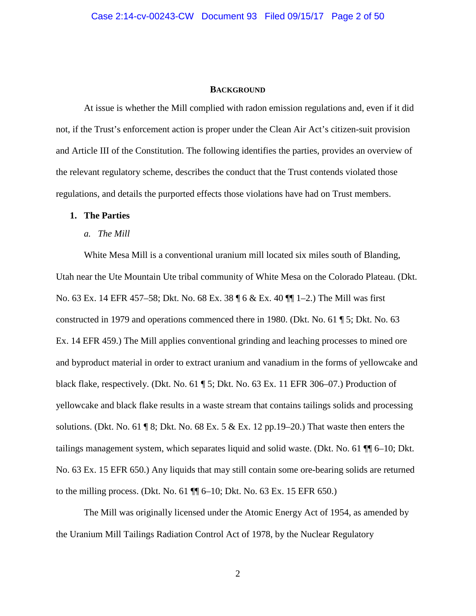#### **BACKGROUND**

At issue is whether the Mill complied with radon emission regulations and, even if it did not, if the Trust's enforcement action is proper under the Clean Air Act's citizen-suit provision and Article III of the Constitution. The following identifies the parties, provides an overview of the relevant regulatory scheme, describes the conduct that the Trust contends violated those regulations, and details the purported effects those violations have had on Trust members.

## **1. The Parties**

*a. The Mill*

White Mesa Mill is a conventional uranium mill located six miles south of Blanding, Utah near the Ute Mountain Ute tribal community of White Mesa on the Colorado Plateau. (Dkt. No. 63 Ex. 14 EFR 457–58; Dkt. No. 68 Ex. 38 ¶ 6 & Ex. 40 ¶¶ 1–2.) The Mill was first constructed in 1979 and operations commenced there in 1980. (Dkt. No. 61 ¶ 5; Dkt. No. 63 Ex. 14 EFR 459.) The Mill applies conventional grinding and leaching processes to mined ore and byproduct material in order to extract uranium and vanadium in the forms of yellowcake and black flake, respectively. (Dkt. No. 61 ¶ 5; Dkt. No. 63 Ex. 11 EFR 306–07.) Production of yellowcake and black flake results in a waste stream that contains tailings solids and processing solutions. (Dkt. No. 61 ¶ 8; Dkt. No. 68 Ex. 5 & Ex. 12 pp.19–20.) That waste then enters the tailings management system, which separates liquid and solid waste. (Dkt. No. 61 ¶¶ 6–10; Dkt. No. 63 Ex. 15 EFR 650.) Any liquids that may still contain some ore-bearing solids are returned to the milling process. (Dkt. No. 61 ¶¶ 6–10; Dkt. No. 63 Ex. 15 EFR 650.)

The Mill was originally licensed under the Atomic Energy Act of 1954, as amended by the Uranium Mill Tailings Radiation Control Act of 1978, by the Nuclear Regulatory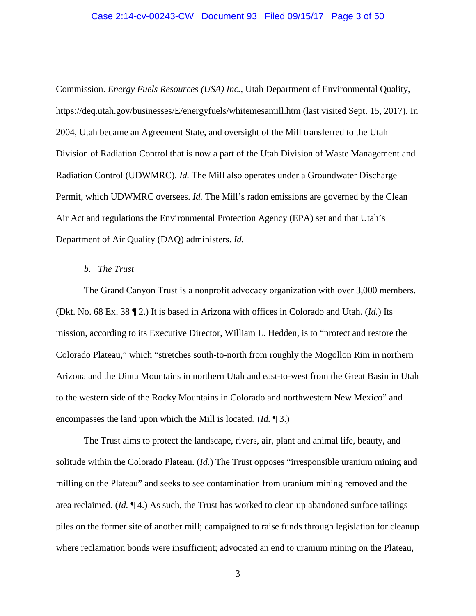#### Case 2:14-cv-00243-CW Document 93 Filed 09/15/17 Page 3 of 50

Commission. *Energy Fuels Resources (USA) Inc.*, Utah Department of Environmental Quality, https://deq.utah.gov/businesses/E/energyfuels/whitemesamill.htm (last visited Sept. 15, 2017). In 2004, Utah became an Agreement State, and oversight of the Mill transferred to the Utah Division of Radiation Control that is now a part of the Utah Division of Waste Management and Radiation Control (UDWMRC). *Id.* The Mill also operates under a Groundwater Discharge Permit, which UDWMRC oversees. *Id.* The Mill's radon emissions are governed by the Clean Air Act and regulations the Environmental Protection Agency (EPA) set and that Utah's Department of Air Quality (DAQ) administers. *Id.*

## *b. The Trust*

The Grand Canyon Trust is a nonprofit advocacy organization with over 3,000 members. (Dkt. No. 68 Ex. 38 ¶ 2.) It is based in Arizona with offices in Colorado and Utah. (*Id.*) Its mission, according to its Executive Director, William L. Hedden, is to "protect and restore the Colorado Plateau," which "stretches south-to-north from roughly the Mogollon Rim in northern Arizona and the Uinta Mountains in northern Utah and east-to-west from the Great Basin in Utah to the western side of the Rocky Mountains in Colorado and northwestern New Mexico" and encompasses the land upon which the Mill is located. (*Id.* ¶ 3.)

The Trust aims to protect the landscape, rivers, air, plant and animal life, beauty, and solitude within the Colorado Plateau. (*Id.*) The Trust opposes "irresponsible uranium mining and milling on the Plateau" and seeks to see contamination from uranium mining removed and the area reclaimed. (*Id.* ¶ 4.) As such, the Trust has worked to clean up abandoned surface tailings piles on the former site of another mill; campaigned to raise funds through legislation for cleanup where reclamation bonds were insufficient; advocated an end to uranium mining on the Plateau,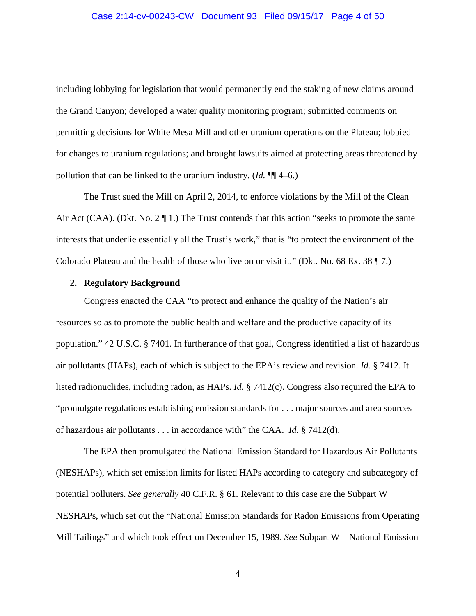including lobbying for legislation that would permanently end the staking of new claims around the Grand Canyon; developed a water quality monitoring program; submitted comments on permitting decisions for White Mesa Mill and other uranium operations on the Plateau; lobbied for changes to uranium regulations; and brought lawsuits aimed at protecting areas threatened by pollution that can be linked to the uranium industry. (*Id.* ¶¶ 4–6.)

The Trust sued the Mill on April 2, 2014, to enforce violations by the Mill of the Clean Air Act (CAA). (Dkt. No. 2 ¶ 1.) The Trust contends that this action "seeks to promote the same interests that underlie essentially all the Trust's work," that is "to protect the environment of the Colorado Plateau and the health of those who live on or visit it." (Dkt. No. 68 Ex. 38 ¶ 7.)

#### **2. Regulatory Background**

Congress enacted the CAA "to protect and enhance the quality of the Nation's air resources so as to promote the public health and welfare and the productive capacity of its population." 42 U.S.C. § 7401. In furtherance of that goal, Congress identified a list of hazardous air pollutants (HAPs), each of which is subject to the EPA's review and revision. *Id.* § 7412. It listed radionuclides, including radon, as HAPs. *Id.* § 7412(c). Congress also required the EPA to "promulgate regulations establishing emission standards for . . . major sources and area sources of hazardous air pollutants . . . in accordance with" the CAA. *Id.* § 7412(d).

The EPA then promulgated the National Emission Standard for Hazardous Air Pollutants (NESHAPs), which set emission limits for listed HAPs according to category and subcategory of potential polluters. *See generally* 40 C.F.R. § 61. Relevant to this case are the Subpart W NESHAPs, which set out the "National Emission Standards for Radon Emissions from Operating Mill Tailings" and which took effect on December 15, 1989. *See* Subpart W—National Emission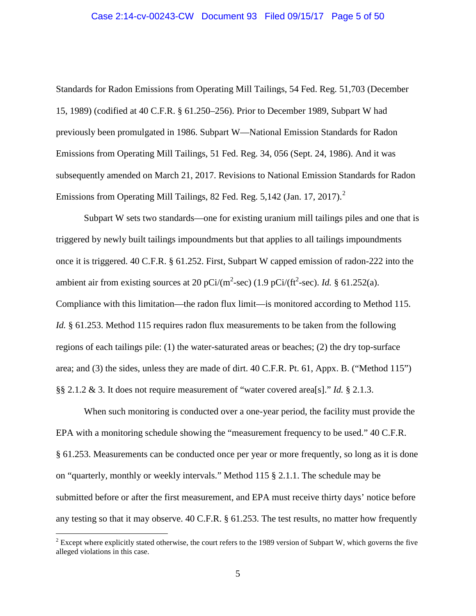#### Case 2:14-cv-00243-CW Document 93 Filed 09/15/17 Page 5 of 50

Standards for Radon Emissions from Operating Mill Tailings, 54 Fed. Reg. 51,703 (December 15, 1989) (codified at 40 C.F.R. § 61.250–256). Prior to December 1989, Subpart W had previously been promulgated in 1986. Subpart W—National Emission Standards for Radon Emissions from Operating Mill Tailings, 51 Fed. Reg. 34, 056 (Sept. 24, 1986). And it was subsequently amended on March 21, 2017. Revisions to National Emission Standards for Radon Emissions from Operating Mill Tailings, 82 Fed. Reg.  $5,142$  (Jan. 17, 2017).<sup>2</sup>

Subpart W sets two standards—one for existing uranium mill tailings piles and one that is triggered by newly built tailings impoundments but that applies to all tailings impoundments once it is triggered. 40 C.F.R. § 61.252. First, Subpart W capped emission of radon-222 into the ambient air from existing sources at 20  $pCi/(m^2\text{-sec})$  (1.9  $pCi/(ft^2\text{-sec})$ . *Id.* § 61.252(a). Compliance with this limitation—the radon flux limit—is monitored according to Method 115. *Id.* § 61.253. Method 115 requires radon flux measurements to be taken from the following regions of each tailings pile: (1) the water-saturated areas or beaches; (2) the dry top-surface area; and (3) the sides, unless they are made of dirt. 40 C.F.R. Pt. 61, Appx. B. ("Method 115") §§ 2.1.2 & 3. It does not require measurement of "water covered area[s]." *Id.* § 2.1.3.

When such monitoring is conducted over a one-year period, the facility must provide the EPA with a monitoring schedule showing the "measurement frequency to be used." 40 C.F.R. § 61.253. Measurements can be conducted once per year or more frequently, so long as it is done on "quarterly, monthly or weekly intervals." Method 115 § 2.1.1. The schedule may be submitted before or after the first measurement, and EPA must receive thirty days' notice before any testing so that it may observe. 40 C.F.R. § 61.253. The test results, no matter how frequently

 $2^2$  Except where explicitly stated otherwise, the court refers to the 1989 version of Subpart W, which governs the five alleged violations in this case.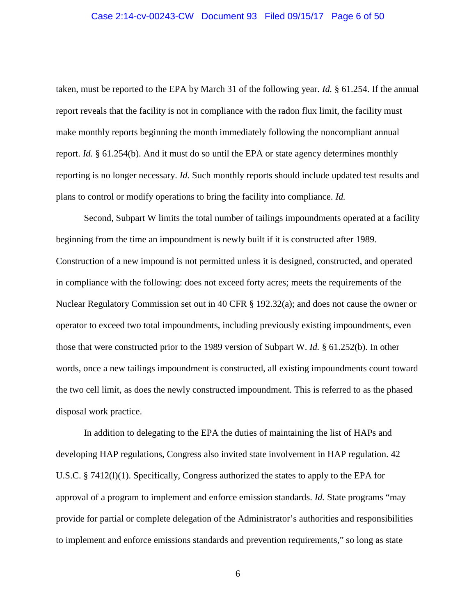#### Case 2:14-cv-00243-CW Document 93 Filed 09/15/17 Page 6 of 50

taken, must be reported to the EPA by March 31 of the following year. *Id.* § 61.254. If the annual report reveals that the facility is not in compliance with the radon flux limit, the facility must make monthly reports beginning the month immediately following the noncompliant annual report. *Id.* § 61.254(b). And it must do so until the EPA or state agency determines monthly reporting is no longer necessary. *Id.* Such monthly reports should include updated test results and plans to control or modify operations to bring the facility into compliance. *Id.*

Second, Subpart W limits the total number of tailings impoundments operated at a facility beginning from the time an impoundment is newly built if it is constructed after 1989. Construction of a new impound is not permitted unless it is designed, constructed, and operated in compliance with the following: does not exceed forty acres; meets the requirements of the Nuclear Regulatory Commission set out in 40 CFR § 192.32(a); and does not cause the owner or operator to exceed two total impoundments, including previously existing impoundments, even those that were constructed prior to the 1989 version of Subpart W. *Id.* § 61.252(b). In other words, once a new tailings impoundment is constructed, all existing impoundments count toward the two cell limit, as does the newly constructed impoundment. This is referred to as the phased disposal work practice.

In addition to delegating to the EPA the duties of maintaining the list of HAPs and developing HAP regulations, Congress also invited state involvement in HAP regulation. 42 U.S.C. § 7412(l)(1). Specifically, Congress authorized the states to apply to the EPA for approval of a program to implement and enforce emission standards. *Id.* State programs "may provide for partial or complete delegation of the Administrator's authorities and responsibilities to implement and enforce emissions standards and prevention requirements," so long as state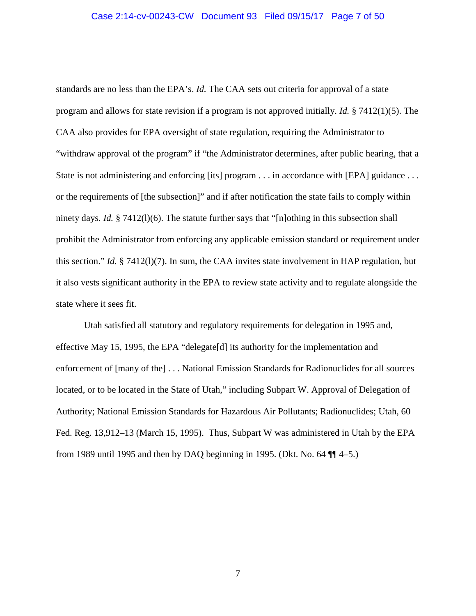#### Case 2:14-cv-00243-CW Document 93 Filed 09/15/17 Page 7 of 50

standards are no less than the EPA's. *Id.* The CAA sets out criteria for approval of a state program and allows for state revision if a program is not approved initially. *Id.* § 7412(1)(5). The CAA also provides for EPA oversight of state regulation, requiring the Administrator to "withdraw approval of the program" if "the Administrator determines, after public hearing, that a State is not administering and enforcing [its] program . . . in accordance with [EPA] guidance . . . or the requirements of [the subsection]" and if after notification the state fails to comply within ninety days. *Id.* § 7412(1)(6). The statute further says that "[n]othing in this subsection shall prohibit the Administrator from enforcing any applicable emission standard or requirement under this section." *Id.* § 7412(l)(7). In sum, the CAA invites state involvement in HAP regulation, but it also vests significant authority in the EPA to review state activity and to regulate alongside the state where it sees fit.

Utah satisfied all statutory and regulatory requirements for delegation in 1995 and, effective May 15, 1995, the EPA "delegate[d] its authority for the implementation and enforcement of [many of the] . . . National Emission Standards for Radionuclides for all sources located, or to be located in the State of Utah," including Subpart W. Approval of Delegation of Authority; National Emission Standards for Hazardous Air Pollutants; Radionuclides; Utah, 60 Fed. Reg. 13,912–13 (March 15, 1995). Thus, Subpart W was administered in Utah by the EPA from 1989 until 1995 and then by DAQ beginning in 1995. (Dkt. No. 64 ¶¶ 4–5.)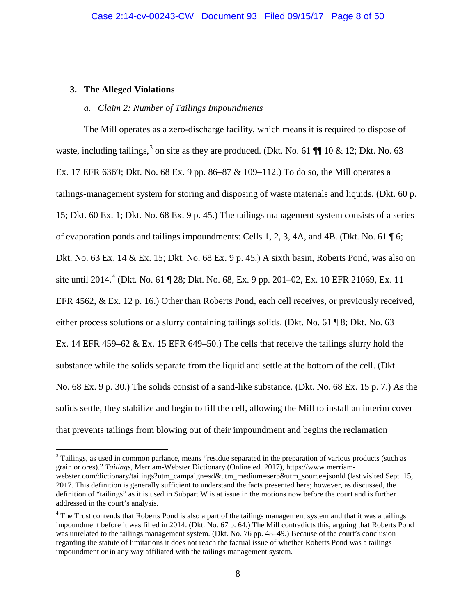## **3. The Alleged Violations**

 $\overline{a}$ 

## *a. Claim 2: Number of Tailings Impoundments*

The Mill operates as a zero-discharge facility, which means it is required to dispose of waste, including tailings,<sup>3</sup> on site as they are produced. (Dkt. No. 61 ¶ 10 & 12; Dkt. No. 63 Ex. 17 EFR 6369; Dkt. No. 68 Ex. 9 pp. 86–87 & 109–112.) To do so, the Mill operates a tailings-management system for storing and disposing of waste materials and liquids. (Dkt. 60 p. 15; Dkt. 60 Ex. 1; Dkt. No. 68 Ex. 9 p. 45.) The tailings management system consists of a series of evaporation ponds and tailings impoundments: Cells 1, 2, 3, 4A, and 4B. (Dkt. No. 61  $\sqrt{\phantom{a}}$  6; Dkt. No. 63 Ex. 14 & Ex. 15; Dkt. No. 68 Ex. 9 p. 45.) A sixth basin, Roberts Pond, was also on site until 2014.<sup>4</sup> (Dkt. No. 61 ¶ 28; Dkt. No. 68, Ex. 9 pp. 201–02, Ex. 10 EFR 21069, Ex. 11 EFR 4562, & Ex. 12 p. 16.) Other than Roberts Pond, each cell receives, or previously received, either process solutions or a slurry containing tailings solids. (Dkt. No. 61 ¶ 8; Dkt. No. 63 Ex. 14 EFR 459–62 & Ex. 15 EFR 649–50.) The cells that receive the tailings slurry hold the substance while the solids separate from the liquid and settle at the bottom of the cell. (Dkt. No. 68 Ex. 9 p. 30.) The solids consist of a sand-like substance. (Dkt. No. 68 Ex. 15 p. 7.) As the solids settle, they stabilize and begin to fill the cell, allowing the Mill to install an interim cover that prevents tailings from blowing out of their impoundment and begins the reclamation

<sup>&</sup>lt;sup>3</sup> Tailings, as used in common parlance, means "residue separated in the preparation of various products (such as grain or ores)." *Tailings*, Merriam-Webster Dictionary (Online ed. 2017), https://www merriamwebster.com/dictionary/tailings?utm\_campaign=sd&utm\_medium=serp&utm\_source=jsonld (last visited Sept. 15, 2017. This definition is generally sufficient to understand the facts presented here; however, as discussed, the definition of "tailings" as it is used in Subpart W is at issue in the motions now before the court and is further addressed in the court's analysis.

<sup>&</sup>lt;sup>4</sup> The Trust contends that Roberts Pond is also a part of the tailings management system and that it was a tailings impoundment before it was filled in 2014. (Dkt. No. 67 p. 64.) The Mill contradicts this, arguing that Roberts Pond was unrelated to the tailings management system. (Dkt. No. 76 pp. 48–49.) Because of the court's conclusion regarding the statute of limitations it does not reach the factual issue of whether Roberts Pond was a tailings impoundment or in any way affiliated with the tailings management system.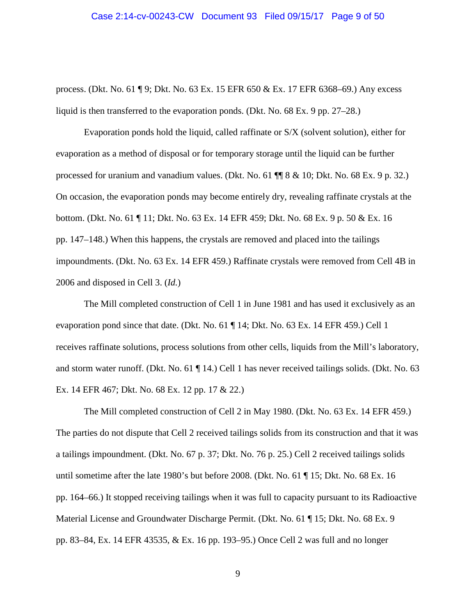#### Case 2:14-cv-00243-CW Document 93 Filed 09/15/17 Page 9 of 50

process. (Dkt. No. 61 ¶ 9; Dkt. No. 63 Ex. 15 EFR 650 & Ex. 17 EFR 6368–69.) Any excess liquid is then transferred to the evaporation ponds. (Dkt. No. 68 Ex. 9 pp. 27–28.)

Evaporation ponds hold the liquid, called raffinate or S/X (solvent solution), either for evaporation as a method of disposal or for temporary storage until the liquid can be further processed for uranium and vanadium values. (Dkt. No. 61 ¶¶ 8 & 10; Dkt. No. 68 Ex. 9 p. 32.) On occasion, the evaporation ponds may become entirely dry, revealing raffinate crystals at the bottom. (Dkt. No. 61 ¶ 11; Dkt. No. 63 Ex. 14 EFR 459; Dkt. No. 68 Ex. 9 p. 50 & Ex. 16 pp. 147–148.) When this happens, the crystals are removed and placed into the tailings impoundments. (Dkt. No. 63 Ex. 14 EFR 459.) Raffinate crystals were removed from Cell 4B in 2006 and disposed in Cell 3. (*Id.*)

The Mill completed construction of Cell 1 in June 1981 and has used it exclusively as an evaporation pond since that date. (Dkt. No. 61 ¶ 14; Dkt. No. 63 Ex. 14 EFR 459.) Cell 1 receives raffinate solutions, process solutions from other cells, liquids from the Mill's laboratory, and storm water runoff. (Dkt. No. 61 ¶ 14.) Cell 1 has never received tailings solids. (Dkt. No. 63 Ex. 14 EFR 467; Dkt. No. 68 Ex. 12 pp. 17 & 22.)

The Mill completed construction of Cell 2 in May 1980. (Dkt. No. 63 Ex. 14 EFR 459.) The parties do not dispute that Cell 2 received tailings solids from its construction and that it was a tailings impoundment. (Dkt. No. 67 p. 37; Dkt. No. 76 p. 25.) Cell 2 received tailings solids until sometime after the late 1980's but before 2008. (Dkt. No. 61 ¶ 15; Dkt. No. 68 Ex. 16 pp. 164–66.) It stopped receiving tailings when it was full to capacity pursuant to its Radioactive Material License and Groundwater Discharge Permit. (Dkt. No. 61 ¶ 15; Dkt. No. 68 Ex. 9 pp. 83–84, Ex. 14 EFR 43535, & Ex. 16 pp. 193–95.) Once Cell 2 was full and no longer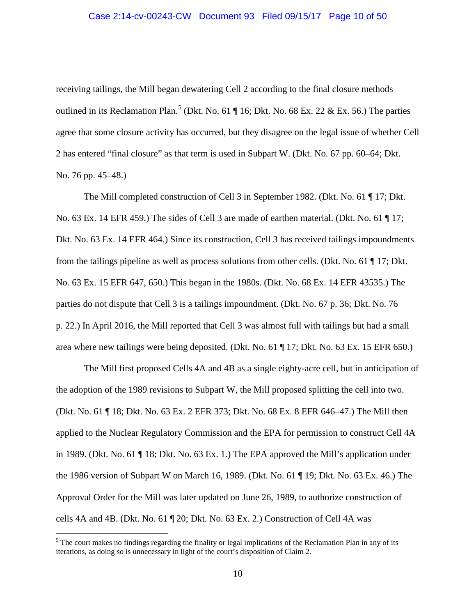receiving tailings, the Mill began dewatering Cell 2 according to the final closure methods outlined in its Reclamation Plan.<sup>5</sup> (Dkt. No. 61  $\P$  16; Dkt. No. 68 Ex. 22 & Ex. 56.) The parties agree that some closure activity has occurred, but they disagree on the legal issue of whether Cell 2 has entered "final closure" as that term is used in Subpart W. (Dkt. No. 67 pp. 60–64; Dkt. No. 76 pp. 45–48.)

The Mill completed construction of Cell 3 in September 1982. (Dkt. No. 61 ¶ 17; Dkt. No. 63 Ex. 14 EFR 459.) The sides of Cell 3 are made of earthen material. (Dkt. No. 61 ¶ 17; Dkt. No. 63 Ex. 14 EFR 464.) Since its construction, Cell 3 has received tailings impoundments from the tailings pipeline as well as process solutions from other cells. (Dkt. No. 61 ¶ 17; Dkt. No. 63 Ex. 15 EFR 647, 650.) This began in the 1980s. (Dkt. No. 68 Ex. 14 EFR 43535.) The parties do not dispute that Cell 3 is a tailings impoundment. (Dkt. No. 67 p. 36; Dkt. No. 76 p. 22.) In April 2016, the Mill reported that Cell 3 was almost full with tailings but had a small area where new tailings were being deposited. (Dkt. No. 61 ¶ 17; Dkt. No. 63 Ex. 15 EFR 650.)

The Mill first proposed Cells 4A and 4B as a single eighty-acre cell, but in anticipation of the adoption of the 1989 revisions to Subpart W, the Mill proposed splitting the cell into two. (Dkt. No. 61 ¶ 18; Dkt. No. 63 Ex. 2 EFR 373; Dkt. No. 68 Ex. 8 EFR 646–47.) The Mill then applied to the Nuclear Regulatory Commission and the EPA for permission to construct Cell 4A in 1989. (Dkt. No. 61 ¶ 18; Dkt. No. 63 Ex. 1.) The EPA approved the Mill's application under the 1986 version of Subpart W on March 16, 1989. (Dkt. No. 61 ¶ 19; Dkt. No. 63 Ex. 46.) The Approval Order for the Mill was later updated on June 26, 1989, to authorize construction of cells 4A and 4B. (Dkt. No. 61 ¶ 20; Dkt. No. 63 Ex. 2.) Construction of Cell 4A was

<sup>&</sup>lt;sup>5</sup> The court makes no findings regarding the finality or legal implications of the Reclamation Plan in any of its iterations, as doing so is unnecessary in light of the court's disposition of Claim 2.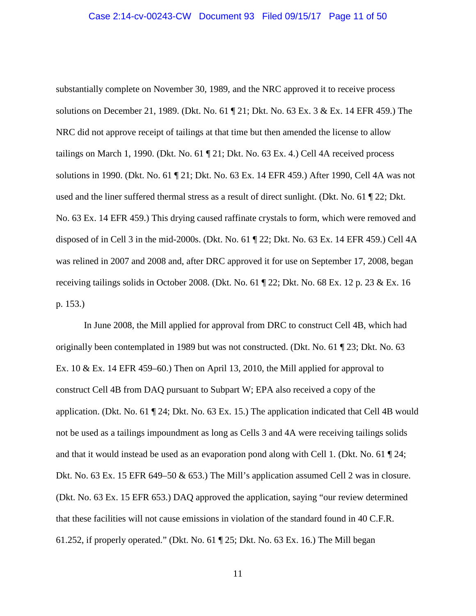substantially complete on November 30, 1989, and the NRC approved it to receive process solutions on December 21, 1989. (Dkt. No. 61 ¶ 21; Dkt. No. 63 Ex. 3 & Ex. 14 EFR 459.) The NRC did not approve receipt of tailings at that time but then amended the license to allow tailings on March 1, 1990. (Dkt. No. 61 ¶ 21; Dkt. No. 63 Ex. 4.) Cell 4A received process solutions in 1990. (Dkt. No. 61 ¶ 21; Dkt. No. 63 Ex. 14 EFR 459.) After 1990, Cell 4A was not used and the liner suffered thermal stress as a result of direct sunlight. (Dkt. No. 61 ¶ 22; Dkt. No. 63 Ex. 14 EFR 459.) This drying caused raffinate crystals to form, which were removed and disposed of in Cell 3 in the mid-2000s. (Dkt. No. 61 ¶ 22; Dkt. No. 63 Ex. 14 EFR 459.) Cell 4A was relined in 2007 and 2008 and, after DRC approved it for use on September 17, 2008, began receiving tailings solids in October 2008. (Dkt. No. 61 ¶ 22; Dkt. No. 68 Ex. 12 p. 23 & Ex. 16 p. 153.)

In June 2008, the Mill applied for approval from DRC to construct Cell 4B, which had originally been contemplated in 1989 but was not constructed. (Dkt. No. 61 ¶ 23; Dkt. No. 63 Ex. 10  $\&$  Ex. 14 EFR 459–60.) Then on April 13, 2010, the Mill applied for approval to construct Cell 4B from DAQ pursuant to Subpart W; EPA also received a copy of the application. (Dkt. No. 61 ¶ 24; Dkt. No. 63 Ex. 15.) The application indicated that Cell 4B would not be used as a tailings impoundment as long as Cells 3 and 4A were receiving tailings solids and that it would instead be used as an evaporation pond along with Cell 1. (Dkt. No. 61 ¶ 24; Dkt. No. 63 Ex. 15 EFR 649–50 & 653.) The Mill's application assumed Cell 2 was in closure. (Dkt. No. 63 Ex. 15 EFR 653.) DAQ approved the application, saying "our review determined that these facilities will not cause emissions in violation of the standard found in 40 C.F.R. 61.252, if properly operated." (Dkt. No. 61 ¶ 25; Dkt. No. 63 Ex. 16.) The Mill began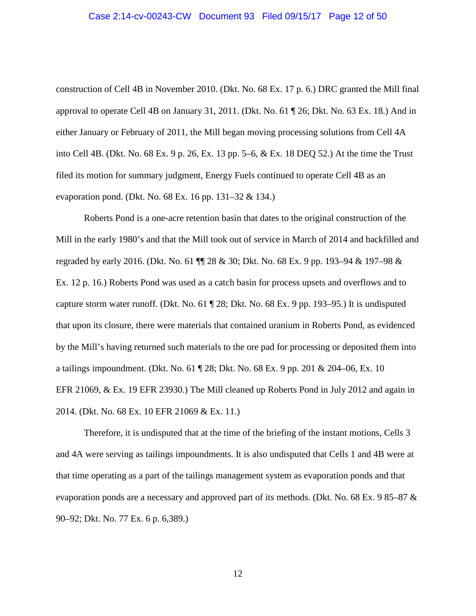#### Case 2:14-cv-00243-CW Document 93 Filed 09/15/17 Page 12 of 50

construction of Cell 4B in November 2010. (Dkt. No. 68 Ex. 17 p. 6.) DRC granted the Mill final approval to operate Cell 4B on January 31, 2011. (Dkt. No. 61 ¶ 26; Dkt. No. 63 Ex. 18.) And in either January or February of 2011, the Mill began moving processing solutions from Cell 4A into Cell 4B. (Dkt. No. 68 Ex. 9 p. 26, Ex. 13 pp. 5–6, & Ex. 18 DEQ 52.) At the time the Trust filed its motion for summary judgment, Energy Fuels continued to operate Cell 4B as an evaporation pond. (Dkt. No. 68 Ex. 16 pp. 131–32 & 134.)

Roberts Pond is a one-acre retention basin that dates to the original construction of the Mill in the early 1980's and that the Mill took out of service in March of 2014 and backfilled and regraded by early 2016. (Dkt. No. 61 ¶¶ 28 & 30; Dkt. No. 68 Ex. 9 pp. 193–94 & 197–98 & Ex. 12 p. 16.) Roberts Pond was used as a catch basin for process upsets and overflows and to capture storm water runoff. (Dkt. No. 61 ¶ 28; Dkt. No. 68 Ex. 9 pp. 193–95.) It is undisputed that upon its closure, there were materials that contained uranium in Roberts Pond, as evidenced by the Mill's having returned such materials to the ore pad for processing or deposited them into a tailings impoundment. (Dkt. No. 61 ¶ 28; Dkt. No. 68 Ex. 9 pp. 201 & 204–06, Ex. 10 EFR 21069, & Ex. 19 EFR 23930.) The Mill cleaned up Roberts Pond in July 2012 and again in 2014. (Dkt. No. 68 Ex. 10 EFR 21069 & Ex. 11.)

Therefore, it is undisputed that at the time of the briefing of the instant motions, Cells 3 and 4A were serving as tailings impoundments. It is also undisputed that Cells 1 and 4B were at that time operating as a part of the tailings management system as evaporation ponds and that evaporation ponds are a necessary and approved part of its methods. (Dkt. No. 68 Ex. 9 85–87 & 90–92; Dkt. No. 77 Ex. 6 p. 6,389.)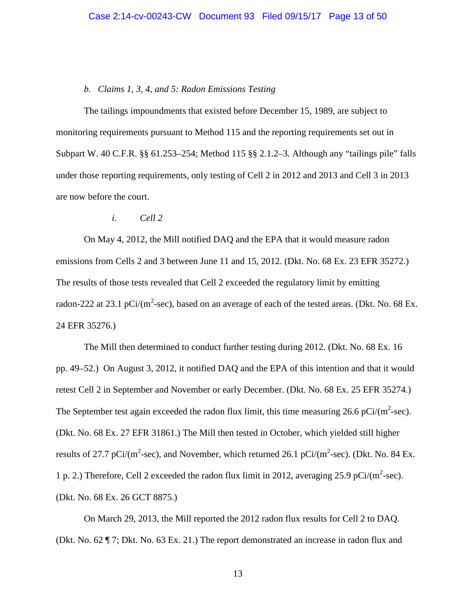#### *b. Claims 1, 3, 4, and 5: Radon Emissions Testing*

The tailings impoundments that existed before December 15, 1989, are subject to monitoring requirements pursuant to Method 115 and the reporting requirements set out in Subpart W. 40 C.F.R. §§ 61.253–254; Method 115 §§ 2.1.2–3. Although any "tailings pile" falls under those reporting requirements, only testing of Cell 2 in 2012 and 2013 and Cell 3 in 2013 are now before the court.

*i. Cell 2*

On May 4, 2012, the Mill notified DAQ and the EPA that it would measure radon emissions from Cells 2 and 3 between June 11 and 15, 2012. (Dkt. No. 68 Ex. 23 EFR 35272.) The results of those tests revealed that Cell 2 exceeded the regulatory limit by emitting radon-222 at 23.1 pCi/(m<sup>2</sup>-sec), based on an average of each of the tested areas. (Dkt. No. 68 Ex. 24 EFR 35276.)

The Mill then determined to conduct further testing during 2012. (Dkt. No. 68 Ex. 16 pp. 49–52.) On August 3, 2012, it notified DAQ and the EPA of this intention and that it would retest Cell 2 in September and November or early December. (Dkt. No. 68 Ex. 25 EFR 35274.) The September test again exceeded the radon flux limit, this time measuring 26.6 pCi/ $(m^2\text{-sec})$ . (Dkt. No. 68 Ex. 27 EFR 31861.) The Mill then tested in October, which yielded still higher results of 27.7 pCi/(m<sup>2</sup>-sec), and November, which returned 26.1 pCi/(m<sup>2</sup>-sec). (Dkt. No. 84 Ex. 1 p. 2.) Therefore, Cell 2 exceeded the radon flux limit in 2012, averaging 25.9 pCi/ $(m^2\text{-sec})$ . (Dkt. No. 68 Ex. 26 GCT 8875.)

On March 29, 2013, the Mill reported the 2012 radon flux results for Cell 2 to DAQ. (Dkt. No. 62 ¶ 7; Dkt. No. 63 Ex. 21.) The report demonstrated an increase in radon flux and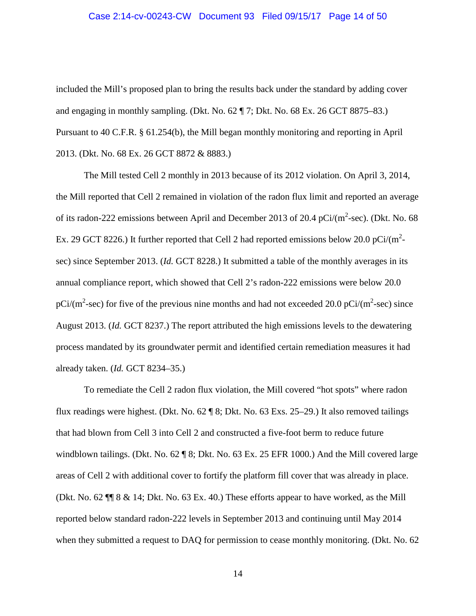#### Case 2:14-cv-00243-CW Document 93 Filed 09/15/17 Page 14 of 50

included the Mill's proposed plan to bring the results back under the standard by adding cover and engaging in monthly sampling. (Dkt. No. 62 ¶ 7; Dkt. No. 68 Ex. 26 GCT 8875–83.) Pursuant to 40 C.F.R. § 61.254(b), the Mill began monthly monitoring and reporting in April 2013. (Dkt. No. 68 Ex. 26 GCT 8872 & 8883.)

The Mill tested Cell 2 monthly in 2013 because of its 2012 violation. On April 3, 2014, the Mill reported that Cell 2 remained in violation of the radon flux limit and reported an average of its radon-222 emissions between April and December 2013 of 20.4 pCi/ $(m^2\text{-sec})$ . (Dkt. No. 68) Ex. 29 GCT 8226.) It further reported that Cell 2 had reported emissions below 20.0 pCi/ $(m^2$ sec) since September 2013. (*Id.* GCT 8228.) It submitted a table of the monthly averages in its annual compliance report, which showed that Cell 2's radon-222 emissions were below 20.0 pCi/(m<sup>2</sup>-sec) for five of the previous nine months and had not exceeded 20.0 pCi/(m<sup>2</sup>-sec) since August 2013. (*Id.* GCT 8237.) The report attributed the high emissions levels to the dewatering process mandated by its groundwater permit and identified certain remediation measures it had already taken. (*Id.* GCT 8234–35.)

To remediate the Cell 2 radon flux violation, the Mill covered "hot spots" where radon flux readings were highest. (Dkt. No. 62 ¶ 8; Dkt. No. 63 Exs. 25–29.) It also removed tailings that had blown from Cell 3 into Cell 2 and constructed a five-foot berm to reduce future windblown tailings. (Dkt. No. 62 ¶ 8; Dkt. No. 63 Ex. 25 EFR 1000.) And the Mill covered large areas of Cell 2 with additional cover to fortify the platform fill cover that was already in place. (Dkt. No. 62 ¶¶ 8 & 14; Dkt. No. 63 Ex. 40.) These efforts appear to have worked, as the Mill reported below standard radon-222 levels in September 2013 and continuing until May 2014 when they submitted a request to DAQ for permission to cease monthly monitoring. (Dkt. No. 62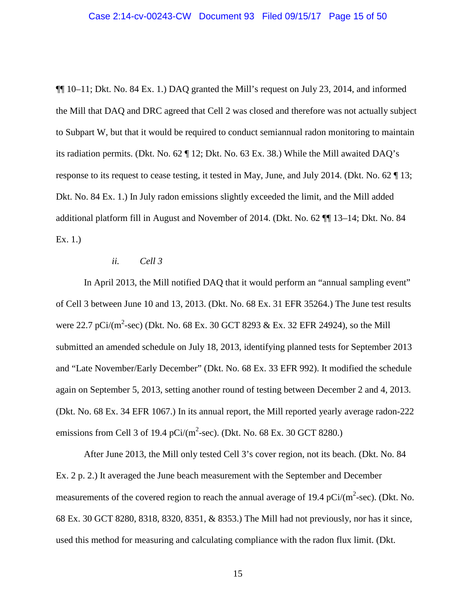¶¶ 10–11; Dkt. No. 84 Ex. 1.) DAQ granted the Mill's request on July 23, 2014, and informed the Mill that DAQ and DRC agreed that Cell 2 was closed and therefore was not actually subject to Subpart W, but that it would be required to conduct semiannual radon monitoring to maintain its radiation permits. (Dkt. No. 62 ¶ 12; Dkt. No. 63 Ex. 38.) While the Mill awaited DAQ's response to its request to cease testing, it tested in May, June, and July 2014. (Dkt. No. 62 ¶ 13; Dkt. No. 84 Ex. 1.) In July radon emissions slightly exceeded the limit, and the Mill added additional platform fill in August and November of 2014. (Dkt. No. 62 ¶¶ 13–14; Dkt. No. 84 Ex. 1.)

#### *ii. Cell 3*

In April 2013, the Mill notified DAQ that it would perform an "annual sampling event" of Cell 3 between June 10 and 13, 2013. (Dkt. No. 68 Ex. 31 EFR 35264.) The June test results were 22.7 pCi/(m<sup>2</sup>-sec) (Dkt. No. 68 Ex. 30 GCT 8293 & Ex. 32 EFR 24924), so the Mill submitted an amended schedule on July 18, 2013, identifying planned tests for September 2013 and "Late November/Early December" (Dkt. No. 68 Ex. 33 EFR 992). It modified the schedule again on September 5, 2013, setting another round of testing between December 2 and 4, 2013. (Dkt. No. 68 Ex. 34 EFR 1067.) In its annual report, the Mill reported yearly average radon-222 emissions from Cell 3 of 19.4 pCi/ $(m^2\text{-sec})$ . (Dkt. No. 68 Ex. 30 GCT 8280.)

After June 2013, the Mill only tested Cell 3's cover region, not its beach. (Dkt. No. 84 Ex. 2 p. 2.) It averaged the June beach measurement with the September and December measurements of the covered region to reach the annual average of 19.4 pCi/ $(m^2\text{-sec})$ . (Dkt. No. 68 Ex. 30 GCT 8280, 8318, 8320, 8351, & 8353.) The Mill had not previously, nor has it since, used this method for measuring and calculating compliance with the radon flux limit. (Dkt.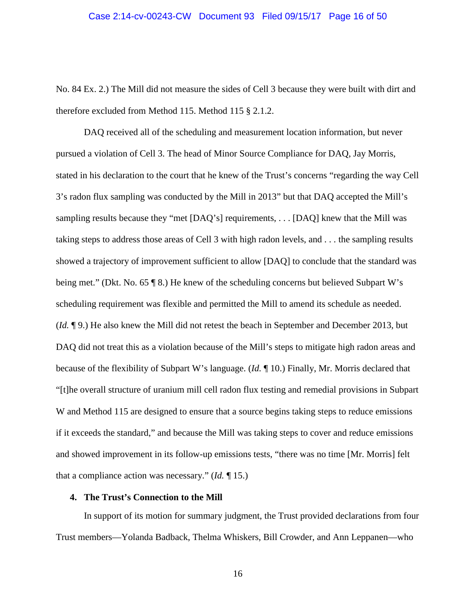No. 84 Ex. 2.) The Mill did not measure the sides of Cell 3 because they were built with dirt and therefore excluded from Method 115. Method 115 § 2.1.2.

DAQ received all of the scheduling and measurement location information, but never pursued a violation of Cell 3. The head of Minor Source Compliance for DAQ, Jay Morris, stated in his declaration to the court that he knew of the Trust's concerns "regarding the way Cell 3's radon flux sampling was conducted by the Mill in 2013" but that DAQ accepted the Mill's sampling results because they "met [DAQ's] requirements, . . . [DAQ] knew that the Mill was taking steps to address those areas of Cell 3 with high radon levels, and . . . the sampling results showed a trajectory of improvement sufficient to allow [DAQ] to conclude that the standard was being met." (Dkt. No. 65 ¶ 8.) He knew of the scheduling concerns but believed Subpart W's scheduling requirement was flexible and permitted the Mill to amend its schedule as needed. (*Id.* ¶ 9.) He also knew the Mill did not retest the beach in September and December 2013, but DAQ did not treat this as a violation because of the Mill's steps to mitigate high radon areas and because of the flexibility of Subpart W's language. (*Id.* ¶ 10.) Finally, Mr. Morris declared that "[t]he overall structure of uranium mill cell radon flux testing and remedial provisions in Subpart W and Method 115 are designed to ensure that a source begins taking steps to reduce emissions if it exceeds the standard," and because the Mill was taking steps to cover and reduce emissions and showed improvement in its follow-up emissions tests, "there was no time [Mr. Morris] felt that a compliance action was necessary." (*Id.* ¶ 15.)

## **4. The Trust's Connection to the Mill**

In support of its motion for summary judgment, the Trust provided declarations from four Trust members—Yolanda Badback, Thelma Whiskers, Bill Crowder, and Ann Leppanen—who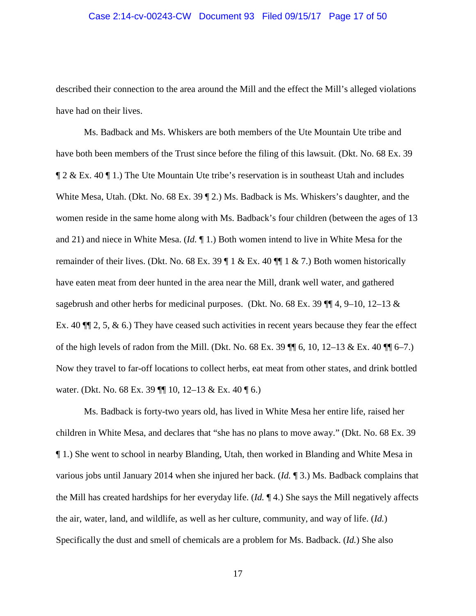#### Case 2:14-cv-00243-CW Document 93 Filed 09/15/17 Page 17 of 50

described their connection to the area around the Mill and the effect the Mill's alleged violations have had on their lives.

Ms. Badback and Ms. Whiskers are both members of the Ute Mountain Ute tribe and have both been members of the Trust since before the filing of this lawsuit. (Dkt. No. 68 Ex. 39 ¶ 2 & Ex. 40 ¶ 1.) The Ute Mountain Ute tribe's reservation is in southeast Utah and includes White Mesa, Utah. (Dkt. No. 68 Ex. 39 ¶ 2.) Ms. Badback is Ms. Whiskers's daughter, and the women reside in the same home along with Ms. Badback's four children (between the ages of 13 and 21) and niece in White Mesa. (*Id.* ¶ 1.) Both women intend to live in White Mesa for the remainder of their lives. (Dkt. No. 68 Ex. 39  $\P$  1 & Ex. 40  $\P$  $\P$  1 & 7.) Both women historically have eaten meat from deer hunted in the area near the Mill, drank well water, and gathered sagebrush and other herbs for medicinal purposes. (Dkt. No. 68 Ex. 39  $\P$  $[4, 9-10, 12-13 \&$ Ex. 40  $\P$  2, 5, & 6.) They have ceased such activities in recent years because they fear the effect of the high levels of radon from the Mill. (Dkt. No. 68 Ex. 39  $\P$  6, 10, 12–13 & Ex. 40  $\P$  6–7.) Now they travel to far-off locations to collect herbs, eat meat from other states, and drink bottled water. (Dkt. No. 68 Ex. 39  $\P$  10, 12–13 & Ex. 40  $\P$  6.)

Ms. Badback is forty-two years old, has lived in White Mesa her entire life, raised her children in White Mesa, and declares that "she has no plans to move away." (Dkt. No. 68 Ex. 39 ¶ 1.) She went to school in nearby Blanding, Utah, then worked in Blanding and White Mesa in various jobs until January 2014 when she injured her back. (*Id.* ¶ 3.) Ms. Badback complains that the Mill has created hardships for her everyday life. (*Id.* ¶ 4.) She says the Mill negatively affects the air, water, land, and wildlife, as well as her culture, community, and way of life. (*Id.*) Specifically the dust and smell of chemicals are a problem for Ms. Badback. (*Id.*) She also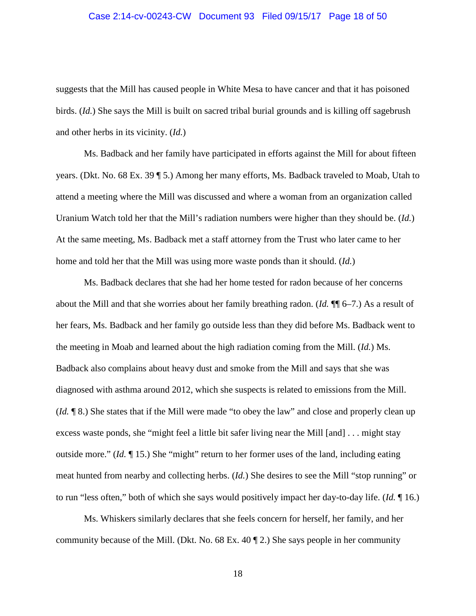#### Case 2:14-cv-00243-CW Document 93 Filed 09/15/17 Page 18 of 50

suggests that the Mill has caused people in White Mesa to have cancer and that it has poisoned birds. (*Id.*) She says the Mill is built on sacred tribal burial grounds and is killing off sagebrush and other herbs in its vicinity. (*Id.*)

Ms. Badback and her family have participated in efforts against the Mill for about fifteen years. (Dkt. No. 68 Ex. 39 ¶ 5.) Among her many efforts, Ms. Badback traveled to Moab, Utah to attend a meeting where the Mill was discussed and where a woman from an organization called Uranium Watch told her that the Mill's radiation numbers were higher than they should be. (*Id.*) At the same meeting, Ms. Badback met a staff attorney from the Trust who later came to her home and told her that the Mill was using more waste ponds than it should. (*Id.*)

Ms. Badback declares that she had her home tested for radon because of her concerns about the Mill and that she worries about her family breathing radon. (*Id.* ¶¶ 6–7.) As a result of her fears, Ms. Badback and her family go outside less than they did before Ms. Badback went to the meeting in Moab and learned about the high radiation coming from the Mill. (*Id.*) Ms. Badback also complains about heavy dust and smoke from the Mill and says that she was diagnosed with asthma around 2012, which she suspects is related to emissions from the Mill. (*Id.* ¶ 8.) She states that if the Mill were made "to obey the law" and close and properly clean up excess waste ponds, she "might feel a little bit safer living near the Mill [and] . . . might stay outside more." (*Id.* ¶ 15.) She "might" return to her former uses of the land, including eating meat hunted from nearby and collecting herbs. (*Id.*) She desires to see the Mill "stop running" or to run "less often," both of which she says would positively impact her day-to-day life. (*Id.* ¶ 16.)

Ms. Whiskers similarly declares that she feels concern for herself, her family, and her community because of the Mill. (Dkt. No. 68 Ex. 40 ¶ 2.) She says people in her community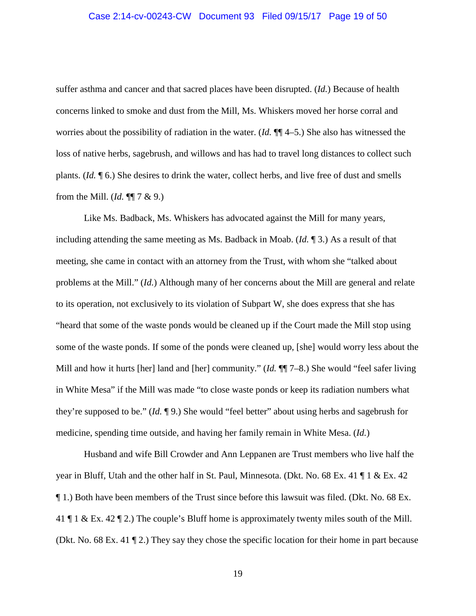suffer asthma and cancer and that sacred places have been disrupted. (*Id.*) Because of health concerns linked to smoke and dust from the Mill, Ms. Whiskers moved her horse corral and worries about the possibility of radiation in the water. (*Id.* ¶¶ 4–5.) She also has witnessed the loss of native herbs, sagebrush, and willows and has had to travel long distances to collect such plants. (*Id.* ¶ 6.) She desires to drink the water, collect herbs, and live free of dust and smells from the Mill. (*Id.*  $\P$  $7 \& 9$ .)

Like Ms. Badback, Ms. Whiskers has advocated against the Mill for many years, including attending the same meeting as Ms. Badback in Moab. (*Id.* ¶ 3.) As a result of that meeting, she came in contact with an attorney from the Trust, with whom she "talked about problems at the Mill." (*Id.*) Although many of her concerns about the Mill are general and relate to its operation, not exclusively to its violation of Subpart W, she does express that she has "heard that some of the waste ponds would be cleaned up if the Court made the Mill stop using some of the waste ponds. If some of the ponds were cleaned up, [she] would worry less about the Mill and how it hurts [her] land and [her] community." (*Id.* ¶¶ 7–8.) She would "feel safer living in White Mesa" if the Mill was made "to close waste ponds or keep its radiation numbers what they're supposed to be." (*Id.* ¶ 9.) She would "feel better" about using herbs and sagebrush for medicine, spending time outside, and having her family remain in White Mesa. (*Id.*)

Husband and wife Bill Crowder and Ann Leppanen are Trust members who live half the year in Bluff, Utah and the other half in St. Paul, Minnesota. (Dkt. No. 68 Ex. 41 ¶ 1 & Ex. 42 ¶ 1.) Both have been members of the Trust since before this lawsuit was filed. (Dkt. No. 68 Ex. 41 ¶ 1 & Ex. 42 ¶ 2.) The couple's Bluff home is approximately twenty miles south of the Mill. (Dkt. No. 68 Ex. 41 ¶ 2.) They say they chose the specific location for their home in part because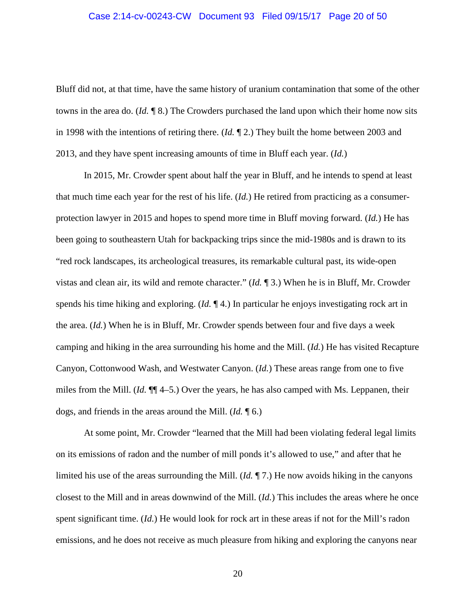#### Case 2:14-cv-00243-CW Document 93 Filed 09/15/17 Page 20 of 50

Bluff did not, at that time, have the same history of uranium contamination that some of the other towns in the area do. (*Id.* ¶ 8.) The Crowders purchased the land upon which their home now sits in 1998 with the intentions of retiring there. (*Id.* ¶ 2.) They built the home between 2003 and 2013, and they have spent increasing amounts of time in Bluff each year. (*Id.*)

In 2015, Mr. Crowder spent about half the year in Bluff, and he intends to spend at least that much time each year for the rest of his life. (*Id.*) He retired from practicing as a consumerprotection lawyer in 2015 and hopes to spend more time in Bluff moving forward. (*Id.*) He has been going to southeastern Utah for backpacking trips since the mid-1980s and is drawn to its "red rock landscapes, its archeological treasures, its remarkable cultural past, its wide-open vistas and clean air, its wild and remote character." (*Id.* ¶ 3.) When he is in Bluff, Mr. Crowder spends his time hiking and exploring. (*Id.* ¶ 4.) In particular he enjoys investigating rock art in the area. (*Id.*) When he is in Bluff, Mr. Crowder spends between four and five days a week camping and hiking in the area surrounding his home and the Mill. (*Id.*) He has visited Recapture Canyon, Cottonwood Wash, and Westwater Canyon. (*Id.*) These areas range from one to five miles from the Mill. (*Id.* ¶¶ 4–5.) Over the years, he has also camped with Ms. Leppanen, their dogs, and friends in the areas around the Mill. (*Id.* ¶ 6.)

At some point, Mr. Crowder "learned that the Mill had been violating federal legal limits on its emissions of radon and the number of mill ponds it's allowed to use," and after that he limited his use of the areas surrounding the Mill. (*Id.* ¶ 7.) He now avoids hiking in the canyons closest to the Mill and in areas downwind of the Mill. (*Id.*) This includes the areas where he once spent significant time. (*Id.*) He would look for rock art in these areas if not for the Mill's radon emissions, and he does not receive as much pleasure from hiking and exploring the canyons near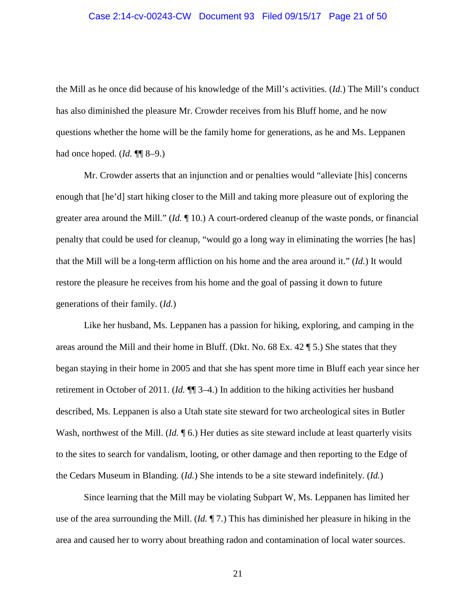#### Case 2:14-cv-00243-CW Document 93 Filed 09/15/17 Page 21 of 50

the Mill as he once did because of his knowledge of the Mill's activities. (*Id.*) The Mill's conduct has also diminished the pleasure Mr. Crowder receives from his Bluff home, and he now questions whether the home will be the family home for generations, as he and Ms. Leppanen had once hoped. (*Id.* ¶¶ 8–9.)

Mr. Crowder asserts that an injunction and or penalties would "alleviate [his] concerns enough that [he'd] start hiking closer to the Mill and taking more pleasure out of exploring the greater area around the Mill." (*Id.* ¶ 10.) A court-ordered cleanup of the waste ponds, or financial penalty that could be used for cleanup, "would go a long way in eliminating the worries [he has] that the Mill will be a long-term affliction on his home and the area around it." (*Id.*) It would restore the pleasure he receives from his home and the goal of passing it down to future generations of their family. (*Id.*)

Like her husband, Ms. Leppanen has a passion for hiking, exploring, and camping in the areas around the Mill and their home in Bluff. (Dkt. No. 68 Ex. 42 ¶ 5.) She states that they began staying in their home in 2005 and that she has spent more time in Bluff each year since her retirement in October of 2011. (*Id.* ¶¶ 3–4.) In addition to the hiking activities her husband described, Ms. Leppanen is also a Utah state site steward for two archeological sites in Butler Wash, northwest of the Mill. (*Id.* 16.) Her duties as site steward include at least quarterly visits to the sites to search for vandalism, looting, or other damage and then reporting to the Edge of the Cedars Museum in Blanding. (*Id.*) She intends to be a site steward indefinitely. (*Id.*)

Since learning that the Mill may be violating Subpart W, Ms. Leppanen has limited her use of the area surrounding the Mill. (*Id.* ¶ 7.) This has diminished her pleasure in hiking in the area and caused her to worry about breathing radon and contamination of local water sources.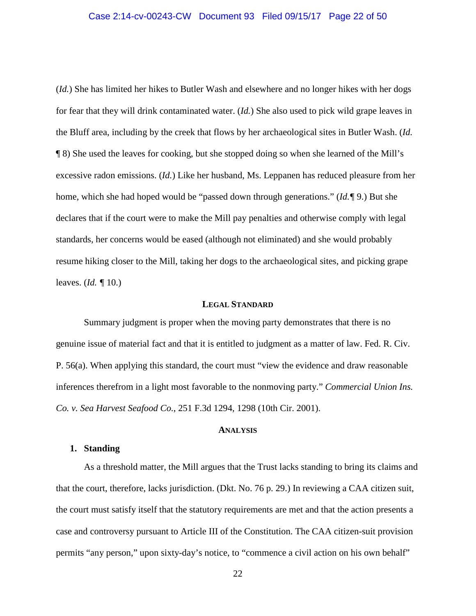(*Id.*) She has limited her hikes to Butler Wash and elsewhere and no longer hikes with her dogs for fear that they will drink contaminated water. (*Id.*) She also used to pick wild grape leaves in the Bluff area, including by the creek that flows by her archaeological sites in Butler Wash. (*Id.* ¶ 8) She used the leaves for cooking, but she stopped doing so when she learned of the Mill's excessive radon emissions. (*Id.*) Like her husband, Ms. Leppanen has reduced pleasure from her home, which she had hoped would be "passed down through generations." (*Id.¶* 9.) But she declares that if the court were to make the Mill pay penalties and otherwise comply with legal standards, her concerns would be eased (although not eliminated) and she would probably resume hiking closer to the Mill, taking her dogs to the archaeological sites, and picking grape leaves. (*Id. ¶* 10.)

## **LEGAL STANDARD**

Summary judgment is proper when the moving party demonstrates that there is no genuine issue of material fact and that it is entitled to judgment as a matter of law. Fed. R. Civ. P. 56(a). When applying this standard, the court must "view the evidence and draw reasonable inferences therefrom in a light most favorable to the nonmoving party." *Commercial Union Ins. Co. v. Sea Harvest Seafood Co.*, 251 F.3d 1294, 1298 (10th Cir. 2001).

#### **ANALYSIS**

#### **1. Standing**

As a threshold matter, the Mill argues that the Trust lacks standing to bring its claims and that the court, therefore, lacks jurisdiction. (Dkt. No. 76 p. 29.) In reviewing a CAA citizen suit, the court must satisfy itself that the statutory requirements are met and that the action presents a case and controversy pursuant to Article III of the Constitution. The CAA citizen-suit provision permits "any person," upon sixty-day's notice, to "commence a civil action on his own behalf"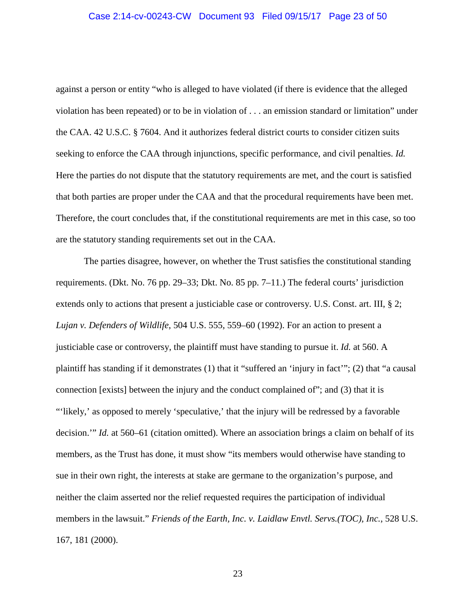#### Case 2:14-cv-00243-CW Document 93 Filed 09/15/17 Page 23 of 50

against a person or entity "who is alleged to have violated (if there is evidence that the alleged violation has been repeated) or to be in violation of . . . an emission standard or limitation" under the CAA. 42 U.S.C. § 7604. And it authorizes federal district courts to consider citizen suits seeking to enforce the CAA through injunctions, specific performance, and civil penalties. *Id.* Here the parties do not dispute that the statutory requirements are met, and the court is satisfied that both parties are proper under the CAA and that the procedural requirements have been met. Therefore, the court concludes that, if the constitutional requirements are met in this case, so too are the statutory standing requirements set out in the CAA.

The parties disagree, however, on whether the Trust satisfies the constitutional standing requirements. (Dkt. No. 76 pp. 29–33; Dkt. No. 85 pp. 7–11.) The federal courts' jurisdiction extends only to actions that present a justiciable case or controversy. U.S. Const. art. III, § 2; *Lujan v. Defenders of Wildlife*, 504 U.S. 555, 559–60 (1992). For an action to present a justiciable case or controversy, the plaintiff must have standing to pursue it. *Id.* at 560. A plaintiff has standing if it demonstrates (1) that it "suffered an 'injury in fact'"; (2) that "a causal connection [exists] between the injury and the conduct complained of"; and (3) that it is "'likely,' as opposed to merely 'speculative,' that the injury will be redressed by a favorable decision.'" *Id.* at 560–61 (citation omitted). Where an association brings a claim on behalf of its members, as the Trust has done, it must show "its members would otherwise have standing to sue in their own right, the interests at stake are germane to the organization's purpose, and neither the claim asserted nor the relief requested requires the participation of individual members in the lawsuit." *Friends of the Earth, Inc. v. Laidlaw Envtl. Servs.(TOC), Inc.*, 528 U.S. 167, 181 (2000).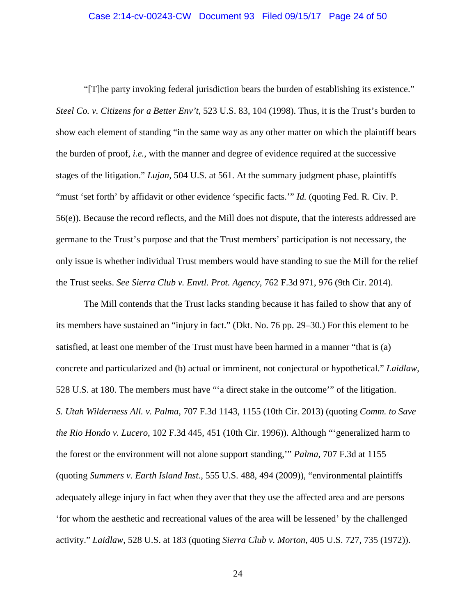"[T]he party invoking federal jurisdiction bears the burden of establishing its existence." *Steel Co. v. Citizens for a Better Env't*, 523 U.S. 83, 104 (1998). Thus, it is the Trust's burden to show each element of standing "in the same way as any other matter on which the plaintiff bears the burden of proof, *i.e.*, with the manner and degree of evidence required at the successive stages of the litigation." *Lujan*, 504 U.S. at 561. At the summary judgment phase, plaintiffs "must 'set forth' by affidavit or other evidence 'specific facts." *Id.* (quoting Fed. R. Civ. P. 56(e)). Because the record reflects, and the Mill does not dispute, that the interests addressed are germane to the Trust's purpose and that the Trust members' participation is not necessary, the only issue is whether individual Trust members would have standing to sue the Mill for the relief the Trust seeks. *See Sierra Club v. Envtl. Prot. Agency*, 762 F.3d 971, 976 (9th Cir. 2014).

The Mill contends that the Trust lacks standing because it has failed to show that any of its members have sustained an "injury in fact." (Dkt. No. 76 pp. 29–30.) For this element to be satisfied, at least one member of the Trust must have been harmed in a manner "that is (a) concrete and particularized and (b) actual or imminent, not conjectural or hypothetical." *Laidlaw*, 528 U.S. at 180. The members must have "'a direct stake in the outcome'" of the litigation. *S. Utah Wilderness All. v. Palma*, 707 F.3d 1143, 1155 (10th Cir. 2013) (quoting *Comm. to Save the Rio Hondo v. Lucero*, 102 F.3d 445, 451 (10th Cir. 1996)). Although "'generalized harm to the forest or the environment will not alone support standing,'" *Palma*, 707 F.3d at 1155 (quoting *Summers v. Earth Island Inst.*, 555 U.S. 488, 494 (2009)), "environmental plaintiffs adequately allege injury in fact when they aver that they use the affected area and are persons 'for whom the aesthetic and recreational values of the area will be lessened' by the challenged activity." *Laidlaw*, 528 U.S. at 183 (quoting *Sierra Club v. Morton*, 405 U.S. 727, 735 (1972)).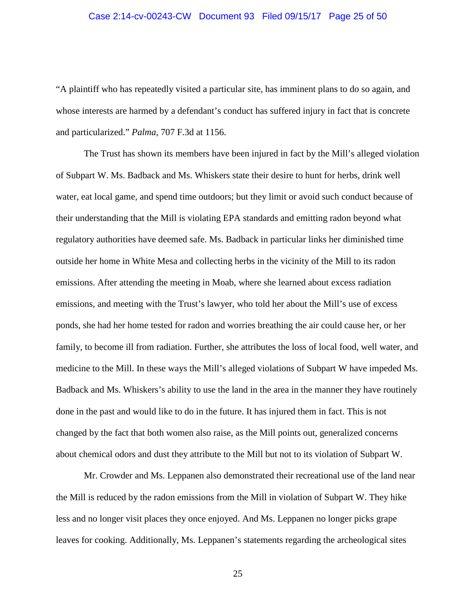#### Case 2:14-cv-00243-CW Document 93 Filed 09/15/17 Page 25 of 50

"A plaintiff who has repeatedly visited a particular site, has imminent plans to do so again, and whose interests are harmed by a defendant's conduct has suffered injury in fact that is concrete and particularized." *Palma*, 707 F.3d at 1156.

The Trust has shown its members have been injured in fact by the Mill's alleged violation of Subpart W. Ms. Badback and Ms. Whiskers state their desire to hunt for herbs, drink well water, eat local game, and spend time outdoors; but they limit or avoid such conduct because of their understanding that the Mill is violating EPA standards and emitting radon beyond what regulatory authorities have deemed safe. Ms. Badback in particular links her diminished time outside her home in White Mesa and collecting herbs in the vicinity of the Mill to its radon emissions. After attending the meeting in Moab, where she learned about excess radiation emissions, and meeting with the Trust's lawyer, who told her about the Mill's use of excess ponds, she had her home tested for radon and worries breathing the air could cause her, or her family, to become ill from radiation. Further, she attributes the loss of local food, well water, and medicine to the Mill. In these ways the Mill's alleged violations of Subpart W have impeded Ms. Badback and Ms. Whiskers's ability to use the land in the area in the manner they have routinely done in the past and would like to do in the future. It has injured them in fact. This is not changed by the fact that both women also raise, as the Mill points out, generalized concerns about chemical odors and dust they attribute to the Mill but not to its violation of Subpart W.

Mr. Crowder and Ms. Leppanen also demonstrated their recreational use of the land near the Mill is reduced by the radon emissions from the Mill in violation of Subpart W. They hike less and no longer visit places they once enjoyed. And Ms. Leppanen no longer picks grape leaves for cooking. Additionally, Ms. Leppanen's statements regarding the archeological sites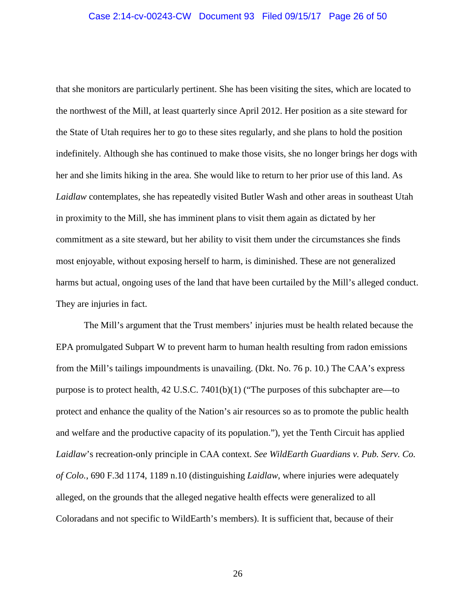that she monitors are particularly pertinent. She has been visiting the sites, which are located to the northwest of the Mill, at least quarterly since April 2012. Her position as a site steward for the State of Utah requires her to go to these sites regularly, and she plans to hold the position indefinitely. Although she has continued to make those visits, she no longer brings her dogs with her and she limits hiking in the area. She would like to return to her prior use of this land. As *Laidlaw* contemplates, she has repeatedly visited Butler Wash and other areas in southeast Utah in proximity to the Mill, she has imminent plans to visit them again as dictated by her commitment as a site steward, but her ability to visit them under the circumstances she finds most enjoyable, without exposing herself to harm, is diminished. These are not generalized harms but actual, ongoing uses of the land that have been curtailed by the Mill's alleged conduct. They are injuries in fact.

The Mill's argument that the Trust members' injuries must be health related because the EPA promulgated Subpart W to prevent harm to human health resulting from radon emissions from the Mill's tailings impoundments is unavailing. (Dkt. No. 76 p. 10.) The CAA's express purpose is to protect health, 42 U.S.C. 7401(b)(1) ("The purposes of this subchapter are—to protect and enhance the quality of the Nation's air resources so as to promote the public health and welfare and the productive capacity of its population."), yet the Tenth Circuit has applied *Laidlaw*'s recreation-only principle in CAA context. *See WildEarth Guardians v. Pub. Serv. Co. of Colo.*, 690 F.3d 1174, 1189 n.10 (distinguishing *Laidlaw*, where injuries were adequately alleged, on the grounds that the alleged negative health effects were generalized to all Coloradans and not specific to WildEarth's members). It is sufficient that, because of their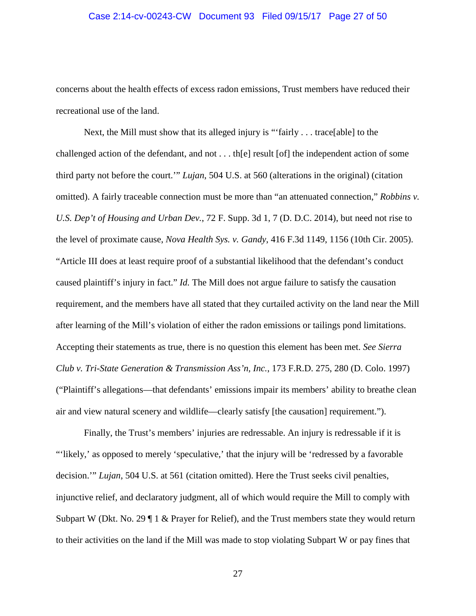#### Case 2:14-cv-00243-CW Document 93 Filed 09/15/17 Page 27 of 50

concerns about the health effects of excess radon emissions, Trust members have reduced their recreational use of the land.

Next, the Mill must show that its alleged injury is "'fairly . . . trace[able] to the challenged action of the defendant, and not . . . th[e] result [of] the independent action of some third party not before the court.'" *Lujan*, 504 U.S. at 560 (alterations in the original) (citation omitted). A fairly traceable connection must be more than "an attenuated connection," *Robbins v. U.S. Dep't of Housing and Urban Dev.*, 72 F. Supp. 3d 1, 7 (D. D.C. 2014), but need not rise to the level of proximate cause, *Nova Health Sys. v. Gandy*, 416 F.3d 1149, 1156 (10th Cir. 2005). "Article III does at least require proof of a substantial likelihood that the defendant's conduct caused plaintiff's injury in fact." *Id.* The Mill does not argue failure to satisfy the causation requirement, and the members have all stated that they curtailed activity on the land near the Mill after learning of the Mill's violation of either the radon emissions or tailings pond limitations. Accepting their statements as true, there is no question this element has been met. *See Sierra Club v. Tri-State Generation & Transmission Ass'n, Inc.*, 173 F.R.D. 275, 280 (D. Colo. 1997) ("Plaintiff's allegations—that defendants' emissions impair its members' ability to breathe clean air and view natural scenery and wildlife—clearly satisfy [the causation] requirement.").

Finally, the Trust's members' injuries are redressable. An injury is redressable if it is "'likely,' as opposed to merely 'speculative,' that the injury will be 'redressed by a favorable decision.'" *Lujan*, 504 U.S. at 561 (citation omitted). Here the Trust seeks civil penalties, injunctive relief, and declaratory judgment, all of which would require the Mill to comply with Subpart W (Dkt. No. 29  $\P$  1 & Prayer for Relief), and the Trust members state they would return to their activities on the land if the Mill was made to stop violating Subpart W or pay fines that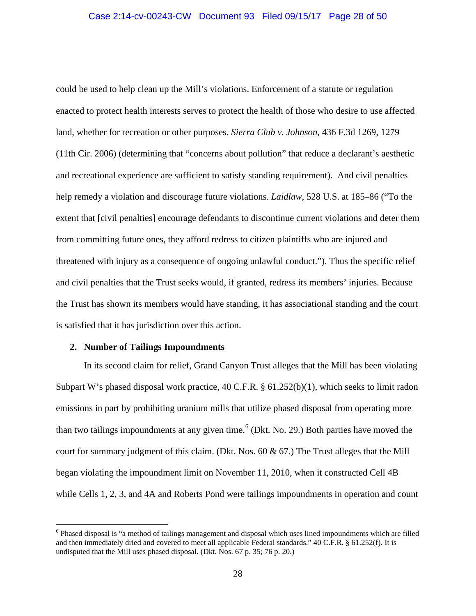could be used to help clean up the Mill's violations. Enforcement of a statute or regulation enacted to protect health interests serves to protect the health of those who desire to use affected land, whether for recreation or other purposes. *Sierra Club v. Johnson*, 436 F.3d 1269, 1279 (11th Cir. 2006) (determining that "concerns about pollution" that reduce a declarant's aesthetic and recreational experience are sufficient to satisfy standing requirement). And civil penalties help remedy a violation and discourage future violations. *Laidlaw*, 528 U.S. at 185–86 ("To the extent that [civil penalties] encourage defendants to discontinue current violations and deter them from committing future ones, they afford redress to citizen plaintiffs who are injured and threatened with injury as a consequence of ongoing unlawful conduct."). Thus the specific relief and civil penalties that the Trust seeks would, if granted, redress its members' injuries. Because the Trust has shown its members would have standing, it has associational standing and the court is satisfied that it has jurisdiction over this action.

#### **2. Number of Tailings Impoundments**

 $\overline{a}$ 

In its second claim for relief, Grand Canyon Trust alleges that the Mill has been violating Subpart W's phased disposal work practice, 40 C.F.R. § 61.252(b)(1), which seeks to limit radon emissions in part by prohibiting uranium mills that utilize phased disposal from operating more than two tailings impoundments at any given time.<sup>6</sup> (Dkt. No. 29.) Both parties have moved the court for summary judgment of this claim. (Dkt. Nos.  $60 \& 67$ .) The Trust alleges that the Mill began violating the impoundment limit on November 11, 2010, when it constructed Cell 4B while Cells 1, 2, 3, and 4A and Roberts Pond were tailings impoundments in operation and count

<sup>6</sup> Phased disposal is "a method of tailings management and disposal which uses lined impoundments which are filled and then immediately dried and covered to meet all applicable Federal standards." 40 C.F.R. § 61.252(f). It is undisputed that the Mill uses phased disposal. (Dkt. Nos. 67 p. 35; 76 p. 20.)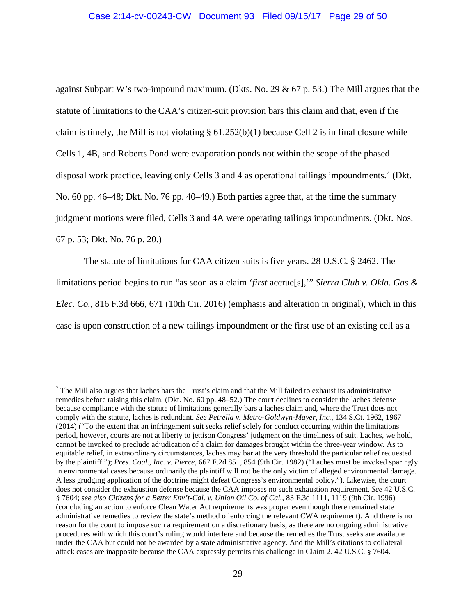against Subpart W's two-impound maximum. (Dkts. No. 29  $\&$  67 p. 53.) The Mill argues that the statute of limitations to the CAA's citizen-suit provision bars this claim and that, even if the claim is timely, the Mill is not violating  $\S 61.252(b)(1)$  because Cell 2 is in final closure while Cells 1, 4B, and Roberts Pond were evaporation ponds not within the scope of the phased disposal work practice, leaving only Cells 3 and 4 as operational tailings impoundments.<sup>7</sup> (Dkt. No. 60 pp. 46–48; Dkt. No. 76 pp. 40–49.) Both parties agree that, at the time the summary judgment motions were filed, Cells 3 and 4A were operating tailings impoundments. (Dkt. Nos. 67 p. 53; Dkt. No. 76 p. 20.)

The statute of limitations for CAA citizen suits is five years. 28 U.S.C. § 2462. The limitations period begins to run "as soon as a claim '*first* accrue[s],'" *Sierra Club v. Okla. Gas & Elec. Co.*, 816 F.3d 666, 671 (10th Cir. 2016) (emphasis and alteration in original), which in this case is upon construction of a new tailings impoundment or the first use of an existing cell as a

 $<sup>7</sup>$  The Mill also argues that laches bars the Trust's claim and that the Mill failed to exhaust its administrative</sup> remedies before raising this claim. (Dkt. No. 60 pp. 48–52.) The court declines to consider the laches defense because compliance with the statute of limitations generally bars a laches claim and, where the Trust does not comply with the statute, laches is redundant. *See Petrella v. Metro-Goldwyn-Mayer, Inc.*, 134 S.Ct. 1962, 1967 (2014) ("To the extent that an infringement suit seeks relief solely for conduct occurring within the limitations period, however, courts are not at liberty to jettison Congress' judgment on the timeliness of suit. Laches, we hold, cannot be invoked to preclude adjudication of a claim for damages brought within the three-year window. As to equitable relief, in extraordinary circumstances, laches may bar at the very threshold the particular relief requested by the plaintiff."); *Pres. Coal., Inc. v. Pierce*, 667 F.2d 851, 854 (9th Cir. 1982) ("Laches must be invoked sparingly in environmental cases because ordinarily the plaintiff will not be the only victim of alleged environmental damage. A less grudging application of the doctrine might defeat Congress's environmental policy."). Likewise, the court does not consider the exhaustion defense because the CAA imposes no such exhaustion requirement. *See* 42 U.S.C. § 7604; *see also Citizens for a Better Env't-Cal. v. Union Oil Co. of Cal.*, 83 F.3d 1111, 1119 (9th Cir. 1996) (concluding an action to enforce Clean Water Act requirements was proper even though there remained state administrative remedies to review the state's method of enforcing the relevant CWA requirement). And there is no reason for the court to impose such a requirement on a discretionary basis, as there are no ongoing administrative procedures with which this court's ruling would interfere and because the remedies the Trust seeks are available under the CAA but could not be awarded by a state administrative agency. And the Mill's citations to collateral attack cases are inapposite because the CAA expressly permits this challenge in Claim 2. 42 U.S.C. § 7604.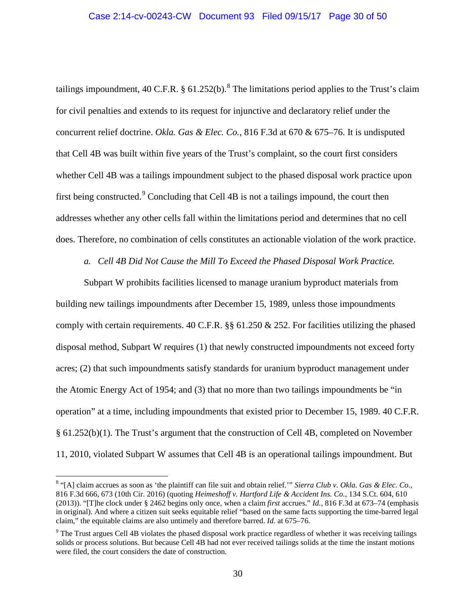tailings impoundment, 40 C.F.R. § 61.252(b).<sup>8</sup> The limitations period applies to the Trust's claim for civil penalties and extends to its request for injunctive and declaratory relief under the concurrent relief doctrine. *Okla. Gas & Elec. Co.*, 816 F.3d at 670 & 675–76. It is undisputed that Cell 4B was built within five years of the Trust's complaint, so the court first considers whether Cell 4B was a tailings impoundment subject to the phased disposal work practice upon first being constructed. $^{9}$  Concluding that Cell 4B is not a tailings impound, the court then addresses whether any other cells fall within the limitations period and determines that no cell does. Therefore, no combination of cells constitutes an actionable violation of the work practice.

*a. Cell 4B Did Not Cause the Mill To Exceed the Phased Disposal Work Practice.*

Subpart W prohibits facilities licensed to manage uranium byproduct materials from building new tailings impoundments after December 15, 1989, unless those impoundments comply with certain requirements. 40 C.F.R. §§ 61.250 & 252. For facilities utilizing the phased disposal method, Subpart W requires (1) that newly constructed impoundments not exceed forty acres; (2) that such impoundments satisfy standards for uranium byproduct management under the Atomic Energy Act of 1954; and (3) that no more than two tailings impoundments be "in operation" at a time, including impoundments that existed prior to December 15, 1989. 40 C.F.R. § 61.252(b)(1). The Trust's argument that the construction of Cell 4B, completed on November 11, 2010, violated Subpart W assumes that Cell 4B is an operational tailings impoundment. But

<sup>8</sup> "[A] claim accrues as soon as 'the plaintiff can file suit and obtain relief.'" *Sierra Club v. Okla. Gas & Elec. Co.*, 816 F.3d 666, 673 (10th Cir. 2016) (quoting *Heimeshoff v. Hartford Life & Accident Ins. Co.*, 134 S.Ct. 604, 610 (2013)). "[T]he clock under § 2462 begins only once, when a claim *first* accrues." *Id.*, 816 F.3d at 673–74 (emphasis in original). And where a citizen suit seeks equitable relief "based on the same facts supporting the time-barred legal claim," the equitable claims are also untimely and therefore barred. *Id.* at 675–76.

<sup>&</sup>lt;sup>9</sup> The Trust argues Cell 4B violates the phased disposal work practice regardless of whether it was receiving tailings solids or process solutions. But because Cell 4B had not ever received tailings solids at the time the instant motions were filed, the court considers the date of construction.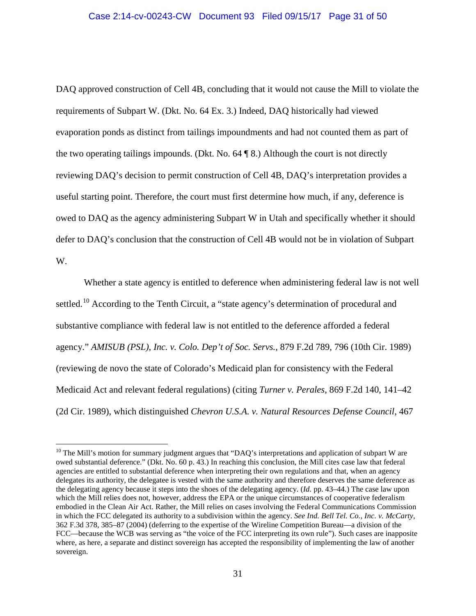## Case 2:14-cv-00243-CW Document 93 Filed 09/15/17 Page 31 of 50

DAQ approved construction of Cell 4B, concluding that it would not cause the Mill to violate the requirements of Subpart W. (Dkt. No. 64 Ex. 3.) Indeed, DAQ historically had viewed evaporation ponds as distinct from tailings impoundments and had not counted them as part of the two operating tailings impounds. (Dkt. No. 64 ¶ 8.) Although the court is not directly reviewing DAQ's decision to permit construction of Cell 4B, DAQ's interpretation provides a useful starting point. Therefore, the court must first determine how much, if any, deference is owed to DAQ as the agency administering Subpart W in Utah and specifically whether it should defer to DAQ's conclusion that the construction of Cell 4B would not be in violation of Subpart W.

Whether a state agency is entitled to deference when administering federal law is not well settled.<sup>10</sup> According to the Tenth Circuit, a "state agency's determination of procedural and substantive compliance with federal law is not entitled to the deference afforded a federal agency." *AMISUB (PSL), Inc. v. Colo. Dep't of Soc. Servs.*, 879 F.2d 789, 796 (10th Cir. 1989) (reviewing de novo the state of Colorado's Medicaid plan for consistency with the Federal Medicaid Act and relevant federal regulations) (citing *Turner v. Perales*, 869 F.2d 140, 141–42 (2d Cir. 1989), which distinguished *Chevron U.S.A. v. Natural Resources Defense Council*, 467

 $10$  The Mill's motion for summary judgment argues that "DAQ's interpretations and application of subpart W are owed substantial deference." (Dkt. No. 60 p. 43.) In reaching this conclusion, the Mill cites case law that federal agencies are entitled to substantial deference when interpreting their own regulations and that, when an agency delegates its authority, the delegatee is vested with the same authority and therefore deserves the same deference as the delegating agency because it steps into the shoes of the delegating agency. (*Id.* pp. 43–44.) The case law upon which the Mill relies does not, however, address the EPA or the unique circumstances of cooperative federalism embodied in the Clean Air Act. Rather, the Mill relies on cases involving the Federal Communications Commission in which the FCC delegated its authority to a subdivision within the agency. *See Ind. Bell Tel. Co., Inc. v. McCarty*, 362 F.3d 378, 385–87 (2004) (deferring to the expertise of the Wireline Competition Bureau—a division of the FCC—because the WCB was serving as "the voice of the FCC interpreting its own rule"). Such cases are inapposite where, as here, a separate and distinct sovereign has accepted the responsibility of implementing the law of another sovereign.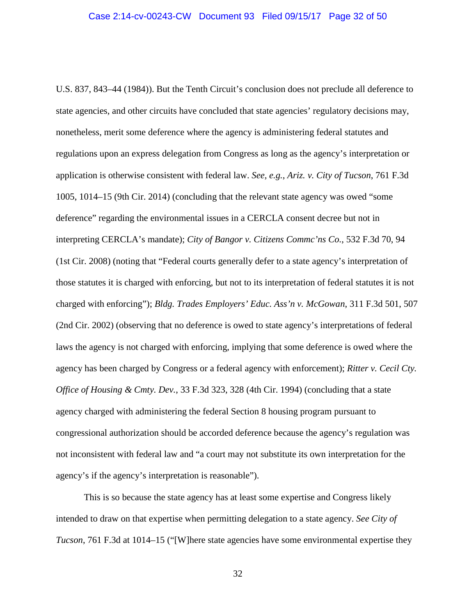U.S. 837, 843–44 (1984)). But the Tenth Circuit's conclusion does not preclude all deference to state agencies, and other circuits have concluded that state agencies' regulatory decisions may, nonetheless, merit some deference where the agency is administering federal statutes and regulations upon an express delegation from Congress as long as the agency's interpretation or application is otherwise consistent with federal law. *See, e.g.*, *Ariz. v. City of Tucson*, 761 F.3d 1005, 1014–15 (9th Cir. 2014) (concluding that the relevant state agency was owed "some deference" regarding the environmental issues in a CERCLA consent decree but not in interpreting CERCLA's mandate); *City of Bangor v. Citizens Commc'ns Co.*, 532 F.3d 70, 94 (1st Cir. 2008) (noting that "Federal courts generally defer to a state agency's interpretation of those statutes it is charged with enforcing, but not to its interpretation of federal statutes it is not charged with enforcing"); *Bldg. Trades Employers' Educ. Ass'n v. McGowan*, 311 F.3d 501, 507 (2nd Cir. 2002) (observing that no deference is owed to state agency's interpretations of federal laws the agency is not charged with enforcing, implying that some deference is owed where the agency has been charged by Congress or a federal agency with enforcement); *Ritter v. Cecil Cty. Office of Housing & Cmty. Dev.*, 33 F.3d 323, 328 (4th Cir. 1994) (concluding that a state agency charged with administering the federal Section 8 housing program pursuant to congressional authorization should be accorded deference because the agency's regulation was not inconsistent with federal law and "a court may not substitute its own interpretation for the agency's if the agency's interpretation is reasonable").

This is so because the state agency has at least some expertise and Congress likely intended to draw on that expertise when permitting delegation to a state agency. *See City of Tucson*, 761 F.3d at 1014–15 ("[W]here state agencies have some environmental expertise they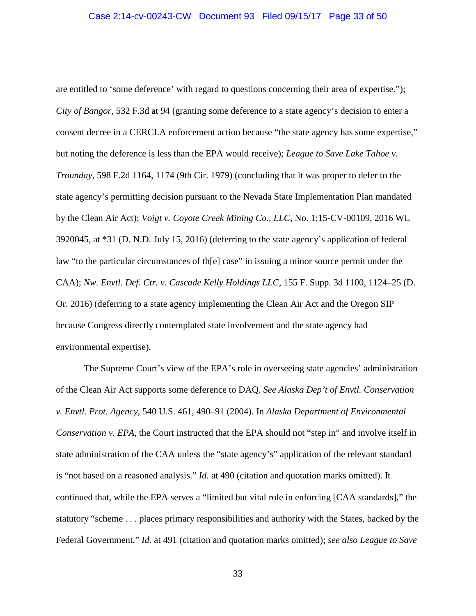are entitled to 'some deference' with regard to questions concerning their area of expertise."); *City of Bangor*, 532 F.3d at 94 (granting some deference to a state agency's decision to enter a consent decree in a CERCLA enforcement action because "the state agency has some expertise," but noting the deference is less than the EPA would receive); *League to Save Lake Tahoe v. Trounday*, 598 F.2d 1164, 1174 (9th Cir. 1979) (concluding that it was proper to defer to the state agency's permitting decision pursuant to the Nevada State Implementation Plan mandated by the Clean Air Act); *Voigt v. Coyote Creek Mining Co., LLC*, No. 1:15-CV-00109, 2016 WL 3920045, at \*31 (D. N.D. July 15, 2016) (deferring to the state agency's application of federal law "to the particular circumstances of th[e] case" in issuing a minor source permit under the CAA); *Nw. Envtl. Def. Ctr. v. Cascade Kelly Holdings LLC*, 155 F. Supp. 3d 1100, 1124–25 (D. Or. 2016) (deferring to a state agency implementing the Clean Air Act and the Oregon SIP because Congress directly contemplated state involvement and the state agency had environmental expertise).

The Supreme Court's view of the EPA's role in overseeing state agencies' administration of the Clean Air Act supports some deference to DAQ. *See Alaska Dep't of Envtl. Conservation v. Envtl. Prot. Agency*, 540 U.S. 461, 490–91 (2004). In *Alaska Department of Environmental Conservation v. EPA*, the Court instructed that the EPA should not "step in" and involve itself in state administration of the CAA unless the "state agency's" application of the relevant standard is "not based on a reasoned analysis." *Id.* at 490 (citation and quotation marks omitted). It continued that, while the EPA serves a "limited but vital role in enforcing [CAA standards]," the statutory "scheme . . . places primary responsibilities and authority with the States, backed by the Federal Government." *Id.* at 491 (citation and quotation marks omitted); *see also League to Save*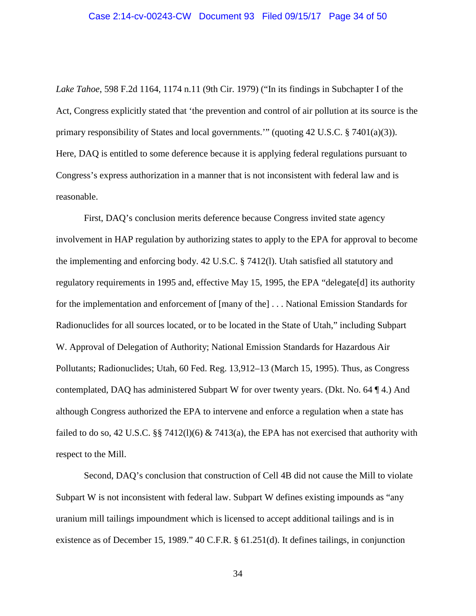*Lake Tahoe*, 598 F.2d 1164, 1174 n.11 (9th Cir. 1979) ("In its findings in Subchapter I of the Act, Congress explicitly stated that 'the prevention and control of air pollution at its source is the primary responsibility of States and local governments.'" (quoting 42 U.S.C. § 7401(a)(3)). Here, DAQ is entitled to some deference because it is applying federal regulations pursuant to Congress's express authorization in a manner that is not inconsistent with federal law and is reasonable.

First, DAQ's conclusion merits deference because Congress invited state agency involvement in HAP regulation by authorizing states to apply to the EPA for approval to become the implementing and enforcing body. 42 U.S.C. § 7412(l). Utah satisfied all statutory and regulatory requirements in 1995 and, effective May 15, 1995, the EPA "delegate[d] its authority for the implementation and enforcement of [many of the] . . . National Emission Standards for Radionuclides for all sources located, or to be located in the State of Utah," including Subpart W. Approval of Delegation of Authority; National Emission Standards for Hazardous Air Pollutants; Radionuclides; Utah, 60 Fed. Reg. 13,912–13 (March 15, 1995). Thus, as Congress contemplated, DAQ has administered Subpart W for over twenty years. (Dkt. No. 64 ¶ 4.) And although Congress authorized the EPA to intervene and enforce a regulation when a state has failed to do so, 42 U.S.C. §§ 7412(1)(6) & 7413(a), the EPA has not exercised that authority with respect to the Mill.

Second, DAQ's conclusion that construction of Cell 4B did not cause the Mill to violate Subpart W is not inconsistent with federal law. Subpart W defines existing impounds as "any uranium mill tailings impoundment which is licensed to accept additional tailings and is in existence as of December 15, 1989." 40 C.F.R. § 61.251(d). It defines tailings, in conjunction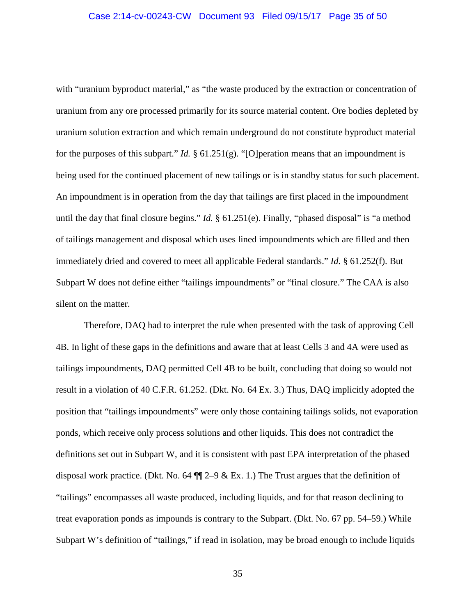with "uranium byproduct material," as "the waste produced by the extraction or concentration of uranium from any ore processed primarily for its source material content. Ore bodies depleted by uranium solution extraction and which remain underground do not constitute byproduct material for the purposes of this subpart." *Id.* § 61.251(g). "[O]peration means that an impoundment is being used for the continued placement of new tailings or is in standby status for such placement. An impoundment is in operation from the day that tailings are first placed in the impoundment until the day that final closure begins." *Id.* § 61.251(e). Finally, "phased disposal" is "a method of tailings management and disposal which uses lined impoundments which are filled and then immediately dried and covered to meet all applicable Federal standards." *Id.* § 61.252(f). But Subpart W does not define either "tailings impoundments" or "final closure." The CAA is also silent on the matter.

Therefore, DAQ had to interpret the rule when presented with the task of approving Cell 4B. In light of these gaps in the definitions and aware that at least Cells 3 and 4A were used as tailings impoundments, DAQ permitted Cell 4B to be built, concluding that doing so would not result in a violation of 40 C.F.R. 61.252. (Dkt. No. 64 Ex. 3.) Thus, DAQ implicitly adopted the position that "tailings impoundments" were only those containing tailings solids, not evaporation ponds, which receive only process solutions and other liquids. This does not contradict the definitions set out in Subpart W, and it is consistent with past EPA interpretation of the phased disposal work practice. (Dkt. No. 64  $\P$  $\mathbb{I}$  2–9 & Ex. 1.) The Trust argues that the definition of "tailings" encompasses all waste produced, including liquids, and for that reason declining to treat evaporation ponds as impounds is contrary to the Subpart. (Dkt. No. 67 pp. 54–59.) While Subpart W's definition of "tailings," if read in isolation, may be broad enough to include liquids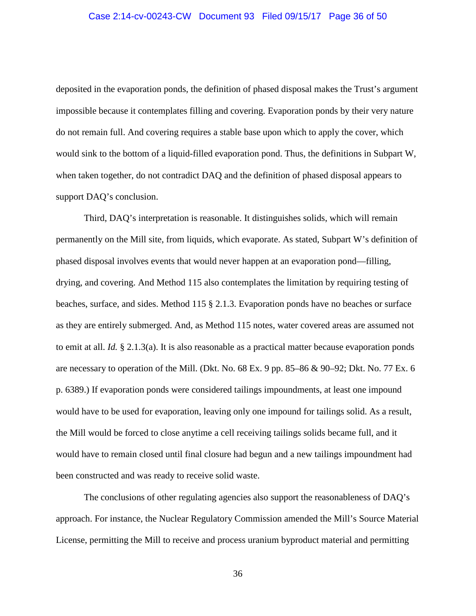#### Case 2:14-cv-00243-CW Document 93 Filed 09/15/17 Page 36 of 50

deposited in the evaporation ponds, the definition of phased disposal makes the Trust's argument impossible because it contemplates filling and covering. Evaporation ponds by their very nature do not remain full. And covering requires a stable base upon which to apply the cover, which would sink to the bottom of a liquid-filled evaporation pond. Thus, the definitions in Subpart W, when taken together, do not contradict DAQ and the definition of phased disposal appears to support DAQ's conclusion.

Third, DAQ's interpretation is reasonable. It distinguishes solids, which will remain permanently on the Mill site, from liquids, which evaporate. As stated, Subpart W's definition of phased disposal involves events that would never happen at an evaporation pond—filling, drying, and covering. And Method 115 also contemplates the limitation by requiring testing of beaches, surface, and sides. Method 115 § 2.1.3. Evaporation ponds have no beaches or surface as they are entirely submerged. And, as Method 115 notes, water covered areas are assumed not to emit at all. *Id.* § 2.1.3(a). It is also reasonable as a practical matter because evaporation ponds are necessary to operation of the Mill. (Dkt. No. 68 Ex. 9 pp. 85–86  $\&$  90–92; Dkt. No. 77 Ex. 6 p. 6389.) If evaporation ponds were considered tailings impoundments, at least one impound would have to be used for evaporation, leaving only one impound for tailings solid. As a result, the Mill would be forced to close anytime a cell receiving tailings solids became full, and it would have to remain closed until final closure had begun and a new tailings impoundment had been constructed and was ready to receive solid waste.

The conclusions of other regulating agencies also support the reasonableness of DAQ's approach. For instance, the Nuclear Regulatory Commission amended the Mill's Source Material License, permitting the Mill to receive and process uranium byproduct material and permitting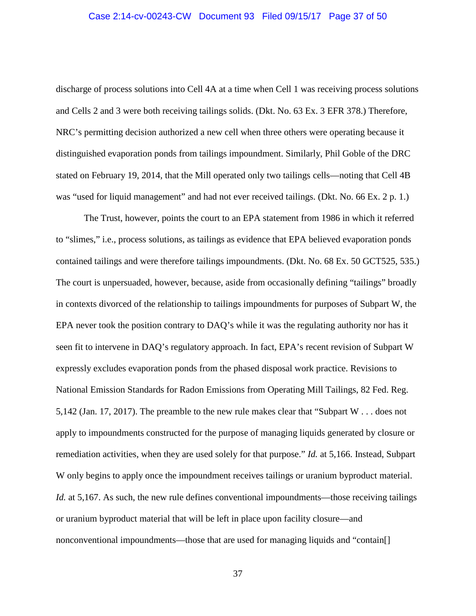#### Case 2:14-cv-00243-CW Document 93 Filed 09/15/17 Page 37 of 50

discharge of process solutions into Cell 4A at a time when Cell 1 was receiving process solutions and Cells 2 and 3 were both receiving tailings solids. (Dkt. No. 63 Ex. 3 EFR 378.) Therefore, NRC's permitting decision authorized a new cell when three others were operating because it distinguished evaporation ponds from tailings impoundment. Similarly, Phil Goble of the DRC stated on February 19, 2014, that the Mill operated only two tailings cells—noting that Cell 4B was "used for liquid management" and had not ever received tailings. (Dkt. No. 66 Ex. 2 p. 1.)

The Trust, however, points the court to an EPA statement from 1986 in which it referred to "slimes," i.e., process solutions, as tailings as evidence that EPA believed evaporation ponds contained tailings and were therefore tailings impoundments. (Dkt. No. 68 Ex. 50 GCT525, 535.) The court is unpersuaded, however, because, aside from occasionally defining "tailings" broadly in contexts divorced of the relationship to tailings impoundments for purposes of Subpart W, the EPA never took the position contrary to DAQ's while it was the regulating authority nor has it seen fit to intervene in DAQ's regulatory approach. In fact, EPA's recent revision of Subpart W expressly excludes evaporation ponds from the phased disposal work practice. Revisions to National Emission Standards for Radon Emissions from Operating Mill Tailings, 82 Fed. Reg. 5,142 (Jan. 17, 2017). The preamble to the new rule makes clear that "Subpart W . . . does not apply to impoundments constructed for the purpose of managing liquids generated by closure or remediation activities, when they are used solely for that purpose." *Id.* at 5,166. Instead, Subpart W only begins to apply once the impoundment receives tailings or uranium byproduct material. *Id.* at 5,167. As such, the new rule defines conventional impoundments—those receiving tailings or uranium byproduct material that will be left in place upon facility closure—and nonconventional impoundments—those that are used for managing liquids and "contain[]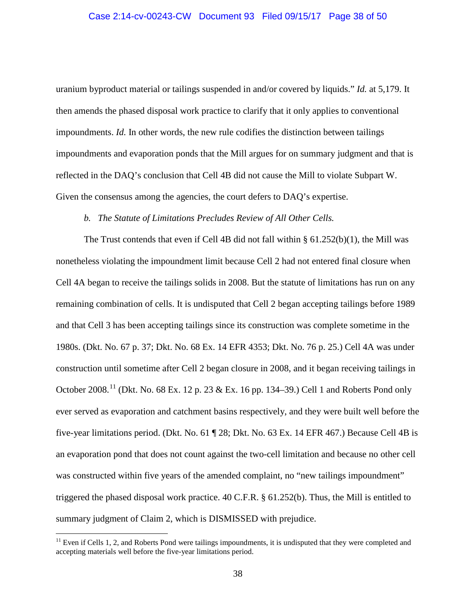uranium byproduct material or tailings suspended in and/or covered by liquids." *Id.* at 5,179. It then amends the phased disposal work practice to clarify that it only applies to conventional impoundments. *Id.* In other words, the new rule codifies the distinction between tailings impoundments and evaporation ponds that the Mill argues for on summary judgment and that is reflected in the DAQ's conclusion that Cell 4B did not cause the Mill to violate Subpart W. Given the consensus among the agencies, the court defers to DAQ's expertise.

## *b. The Statute of Limitations Precludes Review of All Other Cells.*

The Trust contends that even if Cell 4B did not fall within  $\S 61.252(b)(1)$ , the Mill was nonetheless violating the impoundment limit because Cell 2 had not entered final closure when Cell 4A began to receive the tailings solids in 2008. But the statute of limitations has run on any remaining combination of cells. It is undisputed that Cell 2 began accepting tailings before 1989 and that Cell 3 has been accepting tailings since its construction was complete sometime in the 1980s. (Dkt. No. 67 p. 37; Dkt. No. 68 Ex. 14 EFR 4353; Dkt. No. 76 p. 25.) Cell 4A was under construction until sometime after Cell 2 began closure in 2008, and it began receiving tailings in October 2008.<sup>11</sup> (Dkt. No. 68 Ex. 12 p. 23 & Ex. 16 pp. 134–39.) Cell 1 and Roberts Pond only ever served as evaporation and catchment basins respectively, and they were built well before the five-year limitations period. (Dkt. No. 61 ¶ 28; Dkt. No. 63 Ex. 14 EFR 467.) Because Cell 4B is an evaporation pond that does not count against the two-cell limitation and because no other cell was constructed within five years of the amended complaint, no "new tailings impoundment" triggered the phased disposal work practice. 40 C.F.R. § 61.252(b). Thus, the Mill is entitled to summary judgment of Claim 2, which is DISMISSED with prejudice.

 $11$  Even if Cells 1, 2, and Roberts Pond were tailings impoundments, it is undisputed that they were completed and accepting materials well before the five-year limitations period.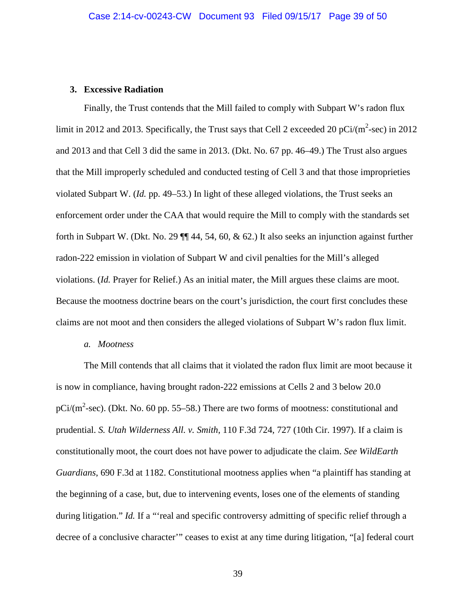### **3. Excessive Radiation**

Finally, the Trust contends that the Mill failed to comply with Subpart W's radon flux limit in 2012 and 2013. Specifically, the Trust says that Cell 2 exceeded 20 pCi/ $(m^2\text{-sec})$  in 2012 and 2013 and that Cell 3 did the same in 2013. (Dkt. No. 67 pp. 46–49.) The Trust also argues that the Mill improperly scheduled and conducted testing of Cell 3 and that those improprieties violated Subpart W. (*Id.* pp. 49–53.) In light of these alleged violations, the Trust seeks an enforcement order under the CAA that would require the Mill to comply with the standards set forth in Subpart W. (Dkt. No. 29 ¶¶ 44, 54, 60, & 62.) It also seeks an injunction against further radon-222 emission in violation of Subpart W and civil penalties for the Mill's alleged violations. (*Id.* Prayer for Relief.) As an initial mater, the Mill argues these claims are moot. Because the mootness doctrine bears on the court's jurisdiction, the court first concludes these claims are not moot and then considers the alleged violations of Subpart W's radon flux limit.

#### *a. Mootness*

The Mill contends that all claims that it violated the radon flux limit are moot because it is now in compliance, having brought radon-222 emissions at Cells 2 and 3 below 20.0 pCi/ $(m^2\text{-sec})$ . (Dkt. No. 60 pp. 55–58.) There are two forms of mootness: constitutional and prudential. *S. Utah Wilderness All. v. Smith*, 110 F.3d 724, 727 (10th Cir. 1997). If a claim is constitutionally moot, the court does not have power to adjudicate the claim. *See WildEarth Guardians*, 690 F.3d at 1182. Constitutional mootness applies when "a plaintiff has standing at the beginning of a case, but, due to intervening events, loses one of the elements of standing during litigation." *Id.* If a "'real and specific controversy admitting of specific relief through a decree of a conclusive character'" ceases to exist at any time during litigation, "[a] federal court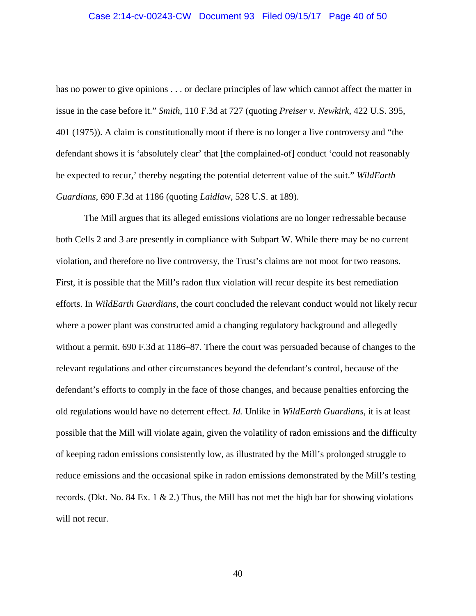#### Case 2:14-cv-00243-CW Document 93 Filed 09/15/17 Page 40 of 50

has no power to give opinions . . . or declare principles of law which cannot affect the matter in issue in the case before it." *Smith*, 110 F.3d at 727 (quoting *Preiser v. Newkirk*, 422 U.S. 395, 401 (1975)). A claim is constitutionally moot if there is no longer a live controversy and "the defendant shows it is 'absolutely clear' that [the complained-of] conduct 'could not reasonably be expected to recur,' thereby negating the potential deterrent value of the suit." *WildEarth Guardians*, 690 F.3d at 1186 (quoting *Laidlaw*, 528 U.S. at 189).

The Mill argues that its alleged emissions violations are no longer redressable because both Cells 2 and 3 are presently in compliance with Subpart W. While there may be no current violation, and therefore no live controversy, the Trust's claims are not moot for two reasons. First, it is possible that the Mill's radon flux violation will recur despite its best remediation efforts. In *WildEarth Guardians*, the court concluded the relevant conduct would not likely recur where a power plant was constructed amid a changing regulatory background and allegedly without a permit. 690 F.3d at 1186–87. There the court was persuaded because of changes to the relevant regulations and other circumstances beyond the defendant's control, because of the defendant's efforts to comply in the face of those changes, and because penalties enforcing the old regulations would have no deterrent effect. *Id.* Unlike in *WildEarth Guardians*, it is at least possible that the Mill will violate again, given the volatility of radon emissions and the difficulty of keeping radon emissions consistently low, as illustrated by the Mill's prolonged struggle to reduce emissions and the occasional spike in radon emissions demonstrated by the Mill's testing records. (Dkt. No. 84 Ex. 1  $\&$  2.) Thus, the Mill has not met the high bar for showing violations will not recur.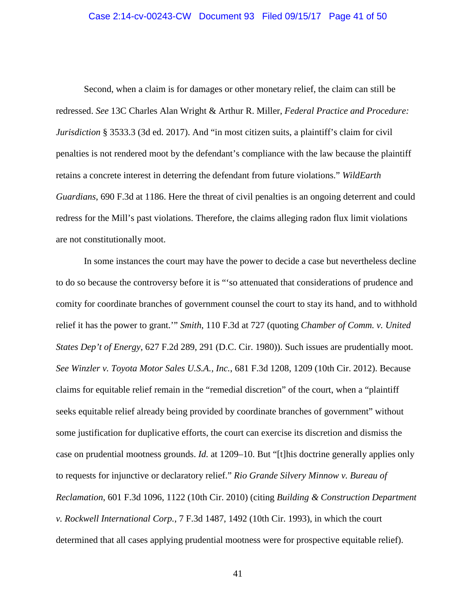#### Case 2:14-cv-00243-CW Document 93 Filed 09/15/17 Page 41 of 50

Second, when a claim is for damages or other monetary relief, the claim can still be redressed. *See* 13C Charles Alan Wright & Arthur R. Miller, *Federal Practice and Procedure: Jurisdiction* § 3533.3 (3d ed. 2017). And "in most citizen suits, a plaintiff's claim for civil penalties is not rendered moot by the defendant's compliance with the law because the plaintiff retains a concrete interest in deterring the defendant from future violations." *WildEarth Guardians*, 690 F.3d at 1186. Here the threat of civil penalties is an ongoing deterrent and could redress for the Mill's past violations. Therefore, the claims alleging radon flux limit violations are not constitutionally moot.

In some instances the court may have the power to decide a case but nevertheless decline to do so because the controversy before it is "'so attenuated that considerations of prudence and comity for coordinate branches of government counsel the court to stay its hand, and to withhold relief it has the power to grant.'" *Smith*, 110 F.3d at 727 (quoting *Chamber of Comm. v. United States Dep't of Energy*, 627 F.2d 289, 291 (D.C. Cir. 1980)). Such issues are prudentially moot. *See Winzler v. Toyota Motor Sales U.S.A., Inc.*, 681 F.3d 1208, 1209 (10th Cir. 2012). Because claims for equitable relief remain in the "remedial discretion" of the court, when a "plaintiff seeks equitable relief already being provided by coordinate branches of government" without some justification for duplicative efforts, the court can exercise its discretion and dismiss the case on prudential mootness grounds. *Id.* at 1209–10. But "[t]his doctrine generally applies only to requests for injunctive or declaratory relief." *Rio Grande Silvery Minnow v. Bureau of Reclamation*, 601 F.3d 1096, 1122 (10th Cir. 2010) (citing *Building & Construction Department v. Rockwell International Corp.*, 7 F.3d 1487, 1492 (10th Cir. 1993), in which the court determined that all cases applying prudential mootness were for prospective equitable relief).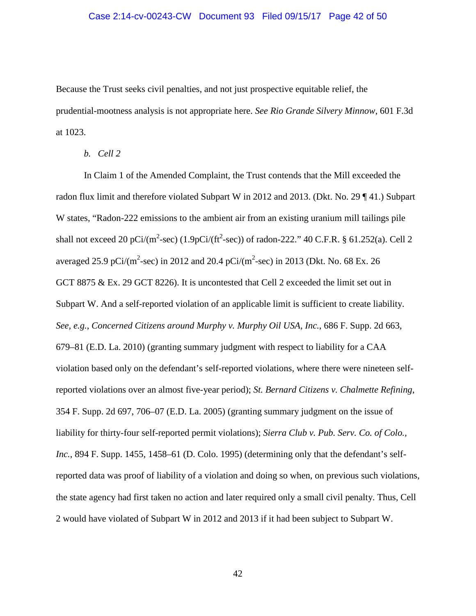#### Case 2:14-cv-00243-CW Document 93 Filed 09/15/17 Page 42 of 50

Because the Trust seeks civil penalties, and not just prospective equitable relief, the prudential-mootness analysis is not appropriate here. *See Rio Grande Silvery Minnow*, 601 F.3d at 1023.

*b. Cell 2*

In Claim 1 of the Amended Complaint, the Trust contends that the Mill exceeded the radon flux limit and therefore violated Subpart W in 2012 and 2013. (Dkt. No. 29 ¶ 41.) Subpart W states, "Radon-222 emissions to the ambient air from an existing uranium mill tailings pile shall not exceed 20 pCi/(m<sup>2</sup>-sec) (1.9pCi/(ft<sup>2</sup>-sec)) of radon-222." 40 C.F.R. § 61.252(a). Cell 2 averaged 25.9 pCi/(m<sup>2</sup>-sec) in 2012 and 20.4 pCi/(m<sup>2</sup>-sec) in 2013 (Dkt. No. 68 Ex. 26 GCT 8875 & Ex. 29 GCT 8226). It is uncontested that Cell 2 exceeded the limit set out in Subpart W. And a self-reported violation of an applicable limit is sufficient to create liability. *See, e.g.*, *Concerned Citizens around Murphy v. Murphy Oil USA, Inc.*, 686 F. Supp. 2d 663, 679–81 (E.D. La. 2010) (granting summary judgment with respect to liability for a CAA violation based only on the defendant's self-reported violations, where there were nineteen selfreported violations over an almost five-year period); *St. Bernard Citizens v. Chalmette Refining*, 354 F. Supp. 2d 697, 706–07 (E.D. La. 2005) (granting summary judgment on the issue of liability for thirty-four self-reported permit violations); *Sierra Club v. Pub. Serv. Co. of Colo., Inc.*, 894 F. Supp. 1455, 1458–61 (D. Colo. 1995) (determining only that the defendant's selfreported data was proof of liability of a violation and doing so when, on previous such violations, the state agency had first taken no action and later required only a small civil penalty. Thus, Cell 2 would have violated of Subpart W in 2012 and 2013 if it had been subject to Subpart W.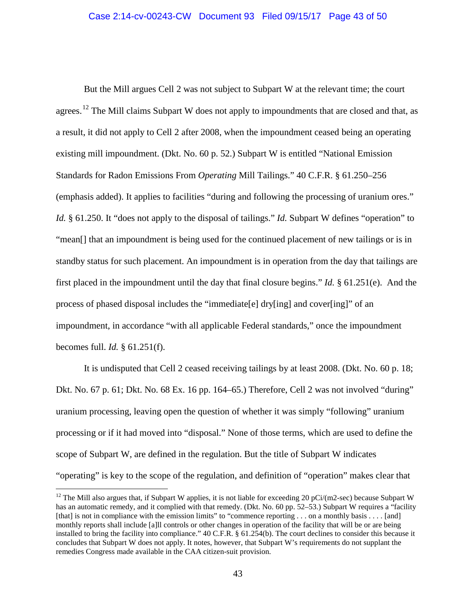But the Mill argues Cell 2 was not subject to Subpart W at the relevant time; the court agrees.<sup>12</sup> The Mill claims Subpart W does not apply to impoundments that are closed and that, as a result, it did not apply to Cell 2 after 2008, when the impoundment ceased being an operating existing mill impoundment. (Dkt. No. 60 p. 52.) Subpart W is entitled "National Emission Standards for Radon Emissions From *Operating* Mill Tailings." 40 C.F.R. § 61.250–256 (emphasis added). It applies to facilities "during and following the processing of uranium ores." *Id.* § 61.250. It "does not apply to the disposal of tailings." *Id.* Subpart W defines "operation" to "mean[] that an impoundment is being used for the continued placement of new tailings or is in standby status for such placement. An impoundment is in operation from the day that tailings are first placed in the impoundment until the day that final closure begins." *Id.* § 61.251(e). And the process of phased disposal includes the "immediate[e] dry[ing] and cover[ing]" of an impoundment, in accordance "with all applicable Federal standards," once the impoundment becomes full. *Id.* § 61.251(f).

It is undisputed that Cell 2 ceased receiving tailings by at least 2008. (Dkt. No. 60 p. 18; Dkt. No. 67 p. 61; Dkt. No. 68 Ex. 16 pp. 164–65.) Therefore, Cell 2 was not involved "during" uranium processing, leaving open the question of whether it was simply "following" uranium processing or if it had moved into "disposal." None of those terms, which are used to define the scope of Subpart W, are defined in the regulation. But the title of Subpart W indicates "operating" is key to the scope of the regulation, and definition of "operation" makes clear that

<sup>&</sup>lt;sup>12</sup> The Mill also argues that, if Subpart W applies, it is not liable for exceeding 20 pCi/(m2-sec) because Subpart W has an automatic remedy, and it complied with that remedy. (Dkt. No. 60 pp. 52–53.) Subpart W requires a "facility [that] is not in compliance with the emission limits" to "commence reporting . . . on a monthly basis . . . . [and] monthly reports shall include [a]ll controls or other changes in operation of the facility that will be or are being installed to bring the facility into compliance." 40 C.F.R. § 61.254(b). The court declines to consider this because it concludes that Subpart W does not apply. It notes, however, that Subpart W's requirements do not supplant the remedies Congress made available in the CAA citizen-suit provision.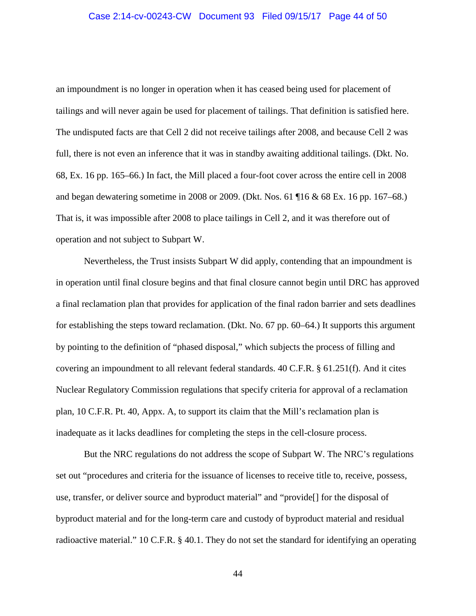#### Case 2:14-cv-00243-CW Document 93 Filed 09/15/17 Page 44 of 50

an impoundment is no longer in operation when it has ceased being used for placement of tailings and will never again be used for placement of tailings. That definition is satisfied here. The undisputed facts are that Cell 2 did not receive tailings after 2008, and because Cell 2 was full, there is not even an inference that it was in standby awaiting additional tailings. (Dkt. No. 68, Ex. 16 pp. 165–66.) In fact, the Mill placed a four-foot cover across the entire cell in 2008 and began dewatering sometime in 2008 or 2009. (Dkt. Nos. 61 ¶16 & 68 Ex. 16 pp. 167–68.) That is, it was impossible after 2008 to place tailings in Cell 2, and it was therefore out of operation and not subject to Subpart W.

Nevertheless, the Trust insists Subpart W did apply, contending that an impoundment is in operation until final closure begins and that final closure cannot begin until DRC has approved a final reclamation plan that provides for application of the final radon barrier and sets deadlines for establishing the steps toward reclamation. (Dkt. No. 67 pp. 60–64.) It supports this argument by pointing to the definition of "phased disposal," which subjects the process of filling and covering an impoundment to all relevant federal standards. 40 C.F.R. § 61.251(f). And it cites Nuclear Regulatory Commission regulations that specify criteria for approval of a reclamation plan, 10 C.F.R. Pt. 40, Appx. A, to support its claim that the Mill's reclamation plan is inadequate as it lacks deadlines for completing the steps in the cell-closure process.

But the NRC regulations do not address the scope of Subpart W. The NRC's regulations set out "procedures and criteria for the issuance of licenses to receive title to, receive, possess, use, transfer, or deliver source and byproduct material" and "provide[] for the disposal of byproduct material and for the long-term care and custody of byproduct material and residual radioactive material." 10 C.F.R. § 40.1. They do not set the standard for identifying an operating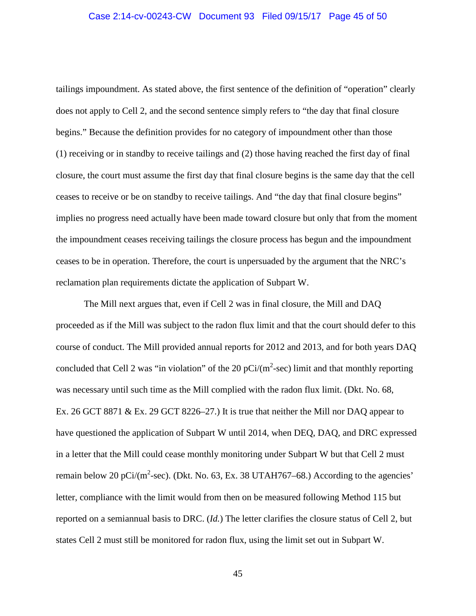tailings impoundment. As stated above, the first sentence of the definition of "operation" clearly does not apply to Cell 2, and the second sentence simply refers to "the day that final closure begins." Because the definition provides for no category of impoundment other than those (1) receiving or in standby to receive tailings and (2) those having reached the first day of final closure, the court must assume the first day that final closure begins is the same day that the cell ceases to receive or be on standby to receive tailings. And "the day that final closure begins" implies no progress need actually have been made toward closure but only that from the moment the impoundment ceases receiving tailings the closure process has begun and the impoundment ceases to be in operation. Therefore, the court is unpersuaded by the argument that the NRC's reclamation plan requirements dictate the application of Subpart W.

The Mill next argues that, even if Cell 2 was in final closure, the Mill and DAQ proceeded as if the Mill was subject to the radon flux limit and that the court should defer to this course of conduct. The Mill provided annual reports for 2012 and 2013, and for both years DAQ concluded that Cell 2 was "in violation" of the 20  $pCi/(m^2\text{-sec})$  limit and that monthly reporting was necessary until such time as the Mill complied with the radon flux limit. (Dkt. No. 68, Ex. 26 GCT 8871 & Ex. 29 GCT 8226–27.) It is true that neither the Mill nor DAQ appear to have questioned the application of Subpart W until 2014, when DEQ, DAQ, and DRC expressed in a letter that the Mill could cease monthly monitoring under Subpart W but that Cell 2 must remain below 20 pCi/(m<sup>2</sup>-sec). (Dkt. No. 63, Ex. 38 UTAH767–68.) According to the agencies' letter, compliance with the limit would from then on be measured following Method 115 but reported on a semiannual basis to DRC. (*Id.*) The letter clarifies the closure status of Cell 2, but states Cell 2 must still be monitored for radon flux, using the limit set out in Subpart W.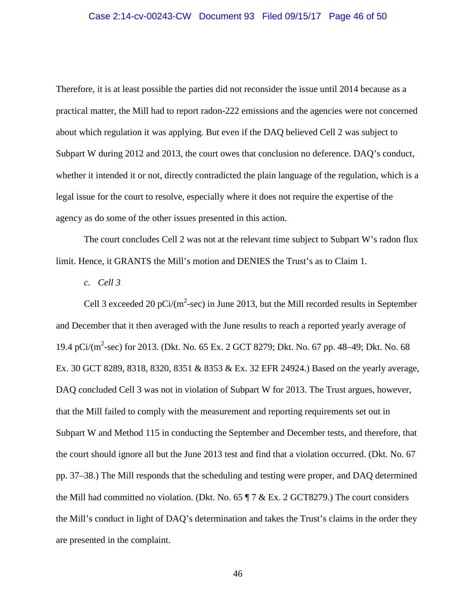#### Case 2:14-cv-00243-CW Document 93 Filed 09/15/17 Page 46 of 50

Therefore, it is at least possible the parties did not reconsider the issue until 2014 because as a practical matter, the Mill had to report radon-222 emissions and the agencies were not concerned about which regulation it was applying. But even if the DAQ believed Cell 2 was subject to Subpart W during 2012 and 2013, the court owes that conclusion no deference. DAQ's conduct, whether it intended it or not, directly contradicted the plain language of the regulation, which is a legal issue for the court to resolve, especially where it does not require the expertise of the agency as do some of the other issues presented in this action.

The court concludes Cell 2 was not at the relevant time subject to Subpart W's radon flux limit. Hence, it GRANTS the Mill's motion and DENIES the Trust's as to Claim 1.

*c. Cell 3*

Cell 3 exceeded 20 pCi/ $(m^2$ -sec) in June 2013, but the Mill recorded results in September and December that it then averaged with the June results to reach a reported yearly average of 19.4 pCi/(m<sup>2</sup>-sec) for 2013. (Dkt. No. 65 Ex. 2 GCT 8279; Dkt. No. 67 pp. 48–49; Dkt. No. 68 Ex. 30 GCT 8289, 8318, 8320, 8351 & 8353 & Ex. 32 EFR 24924.) Based on the yearly average, DAQ concluded Cell 3 was not in violation of Subpart W for 2013. The Trust argues, however, that the Mill failed to comply with the measurement and reporting requirements set out in Subpart W and Method 115 in conducting the September and December tests, and therefore, that the court should ignore all but the June 2013 test and find that a violation occurred. (Dkt. No. 67 pp. 37–38.) The Mill responds that the scheduling and testing were proper, and DAQ determined the Mill had committed no violation. (Dkt. No. 65 ¶ 7 & Ex. 2 GCT8279.) The court considers the Mill's conduct in light of DAQ's determination and takes the Trust's claims in the order they are presented in the complaint.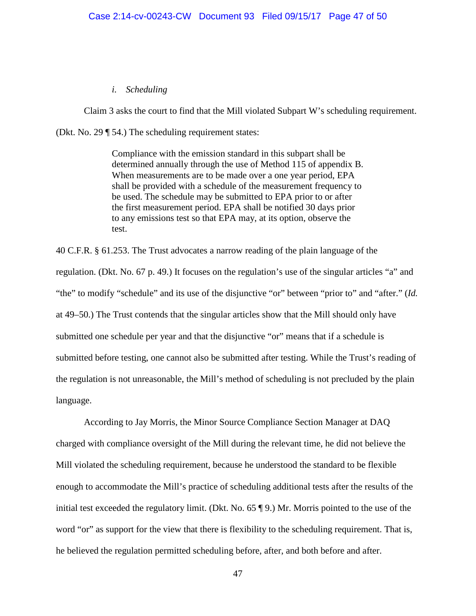## *i. Scheduling*

Claim 3 asks the court to find that the Mill violated Subpart W's scheduling requirement.

(Dkt. No. 29 ¶ 54.) The scheduling requirement states:

Compliance with the emission standard in this subpart shall be determined annually through the use of Method 115 of appendix B. When measurements are to be made over a one year period, EPA shall be provided with a schedule of the measurement frequency to be used. The schedule may be submitted to EPA prior to or after the first measurement period. EPA shall be notified 30 days prior to any emissions test so that EPA may, at its option, observe the test.

40 C.F.R. § 61.253. The Trust advocates a narrow reading of the plain language of the regulation. (Dkt. No. 67 p. 49.) It focuses on the regulation's use of the singular articles "a" and "the" to modify "schedule" and its use of the disjunctive "or" between "prior to" and "after." (*Id.* at 49–50.) The Trust contends that the singular articles show that the Mill should only have submitted one schedule per year and that the disjunctive "or" means that if a schedule is submitted before testing, one cannot also be submitted after testing. While the Trust's reading of the regulation is not unreasonable, the Mill's method of scheduling is not precluded by the plain language.

According to Jay Morris, the Minor Source Compliance Section Manager at DAQ charged with compliance oversight of the Mill during the relevant time, he did not believe the Mill violated the scheduling requirement, because he understood the standard to be flexible enough to accommodate the Mill's practice of scheduling additional tests after the results of the initial test exceeded the regulatory limit. (Dkt. No. 65 ¶ 9.) Mr. Morris pointed to the use of the word "or" as support for the view that there is flexibility to the scheduling requirement. That is, he believed the regulation permitted scheduling before, after, and both before and after.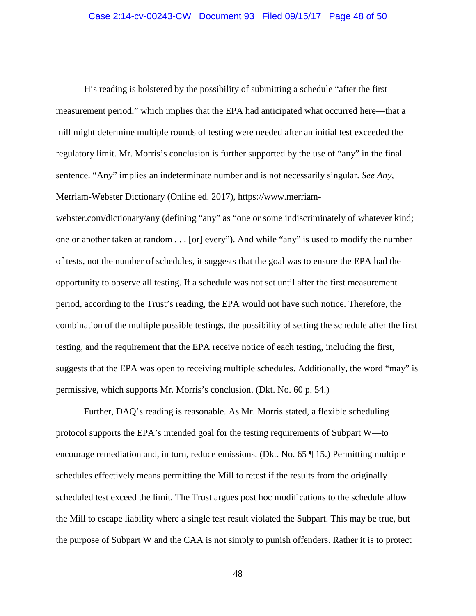His reading is bolstered by the possibility of submitting a schedule "after the first measurement period," which implies that the EPA had anticipated what occurred here—that a mill might determine multiple rounds of testing were needed after an initial test exceeded the regulatory limit. Mr. Morris's conclusion is further supported by the use of "any" in the final sentence. "Any" implies an indeterminate number and is not necessarily singular. *See Any*, Merriam-Webster Dictionary (Online ed. 2017), https://www.merriam-

webster.com/dictionary/any (defining "any" as "one or some indiscriminately of whatever kind; one or another taken at random . . . [or] every"). And while "any" is used to modify the number of tests, not the number of schedules, it suggests that the goal was to ensure the EPA had the opportunity to observe all testing. If a schedule was not set until after the first measurement period, according to the Trust's reading, the EPA would not have such notice. Therefore, the combination of the multiple possible testings, the possibility of setting the schedule after the first testing, and the requirement that the EPA receive notice of each testing, including the first, suggests that the EPA was open to receiving multiple schedules. Additionally, the word "may" is permissive, which supports Mr. Morris's conclusion. (Dkt. No. 60 p. 54.)

Further, DAQ's reading is reasonable. As Mr. Morris stated, a flexible scheduling protocol supports the EPA's intended goal for the testing requirements of Subpart W—to encourage remediation and, in turn, reduce emissions. (Dkt. No. 65 ¶ 15.) Permitting multiple schedules effectively means permitting the Mill to retest if the results from the originally scheduled test exceed the limit. The Trust argues post hoc modifications to the schedule allow the Mill to escape liability where a single test result violated the Subpart. This may be true, but the purpose of Subpart W and the CAA is not simply to punish offenders. Rather it is to protect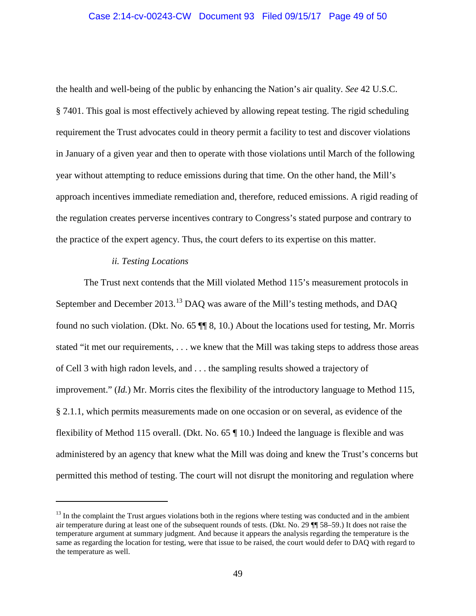### Case 2:14-cv-00243-CW Document 93 Filed 09/15/17 Page 49 of 50

the health and well-being of the public by enhancing the Nation's air quality. *See* 42 U.S.C. § 7401. This goal is most effectively achieved by allowing repeat testing. The rigid scheduling requirement the Trust advocates could in theory permit a facility to test and discover violations in January of a given year and then to operate with those violations until March of the following year without attempting to reduce emissions during that time. On the other hand, the Mill's approach incentives immediate remediation and, therefore, reduced emissions. A rigid reading of the regulation creates perverse incentives contrary to Congress's stated purpose and contrary to the practice of the expert agency. Thus, the court defers to its expertise on this matter.

## *ii. Testing Locations*

 $\overline{a}$ 

The Trust next contends that the Mill violated Method 115's measurement protocols in September and December 2013.<sup>13</sup> DAQ was aware of the Mill's testing methods, and DAQ found no such violation. (Dkt. No. 65 ¶¶ 8, 10.) About the locations used for testing, Mr. Morris stated "it met our requirements, . . . we knew that the Mill was taking steps to address those areas of Cell 3 with high radon levels, and . . . the sampling results showed a trajectory of improvement." (*Id.*) Mr. Morris cites the flexibility of the introductory language to Method 115, § 2.1.1, which permits measurements made on one occasion or on several, as evidence of the flexibility of Method 115 overall. (Dkt. No. 65 ¶ 10.) Indeed the language is flexible and was administered by an agency that knew what the Mill was doing and knew the Trust's concerns but permitted this method of testing. The court will not disrupt the monitoring and regulation where

 $<sup>13</sup>$  In the complaint the Trust argues violations both in the regions where testing was conducted and in the ambient</sup> air temperature during at least one of the subsequent rounds of tests. (Dkt. No. 29 ¶¶ 58–59.) It does not raise the temperature argument at summary judgment. And because it appears the analysis regarding the temperature is the same as regarding the location for testing, were that issue to be raised, the court would defer to DAQ with regard to the temperature as well.